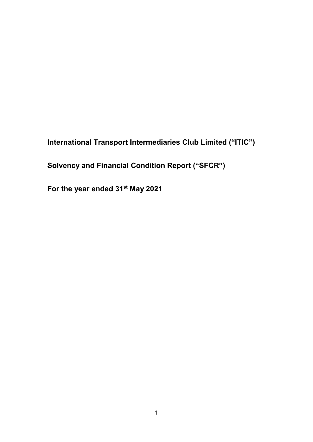International Transport Intermediaries Club Limited ("ITIC")

Solvency and Financial Condition Report ("SFCR")

For the year ended 31<sup>st</sup> May 2021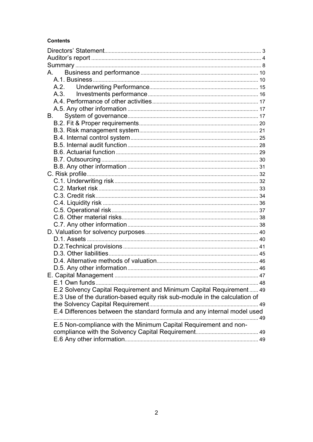## **Contents**

| A.                                                                         |  |
|----------------------------------------------------------------------------|--|
|                                                                            |  |
|                                                                            |  |
|                                                                            |  |
|                                                                            |  |
|                                                                            |  |
|                                                                            |  |
|                                                                            |  |
|                                                                            |  |
|                                                                            |  |
|                                                                            |  |
|                                                                            |  |
|                                                                            |  |
|                                                                            |  |
|                                                                            |  |
|                                                                            |  |
|                                                                            |  |
|                                                                            |  |
|                                                                            |  |
|                                                                            |  |
|                                                                            |  |
|                                                                            |  |
|                                                                            |  |
|                                                                            |  |
|                                                                            |  |
|                                                                            |  |
|                                                                            |  |
|                                                                            |  |
|                                                                            |  |
|                                                                            |  |
| E.2 Solvency Capital Requirement and Minimum Capital Requirement 49        |  |
| E.3 Use of the duration-based equity risk sub-module in the calculation of |  |
|                                                                            |  |
| E.4 Differences between the standard formula and any internal model used   |  |
|                                                                            |  |
| E.5 Non-compliance with the Minimum Capital Requirement and non-           |  |
|                                                                            |  |
|                                                                            |  |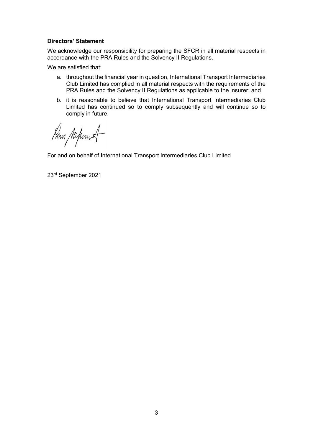## Directors' Statement

We acknowledge our responsibility for preparing the SFCR in all material respects in accordance with the PRA Rules and the Solvency II Regulations.

We are satisfied that:

- a. throughout the financial year in question, International Transport Intermediaries Club Limited has complied in all material respects with the requirements of the PRA Rules and the Solvency II Regulations as applicable to the insurer; and
- b. it is reasonable to believe that International Transport Intermediaries Club Limited has continued so to comply subsequently and will continue so to comply in future.

Pom / tapment

For and on behalf of International Transport Intermediaries Club Limited

23rd September 2021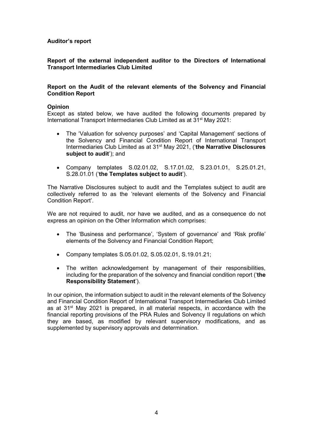## Auditor's report

Report of the external independent auditor to the Directors of International Transport Intermediaries Club Limited

## Report on the Audit of the relevant elements of the Solvency and Financial Condition Report

## **Opinion**

Except as stated below, we have audited the following documents prepared by International Transport Intermediaries Club Limited as at 31<sup>st</sup> May 2021:

- The 'Valuation for solvency purposes' and 'Capital Management' sections of the Solvency and Financial Condition Report of International Transport Intermediaries Club Limited as at 31<sup>st</sup> May 2021, ('the Narrative Disclosures subject to audit'); and
- Company templates S.02.01.02, S.17.01.02, S.23.01.01, S.25.01.21, S.28.01.01 ('the Templates subject to audit').

The Narrative Disclosures subject to audit and the Templates subject to audit are collectively referred to as the 'relevant elements of the Solvency and Financial Condition Report'.

We are not required to audit, nor have we audited, and as a consequence do not express an opinion on the Other Information which comprises:

- The 'Business and performance', 'System of governance' and 'Risk profile' elements of the Solvency and Financial Condition Report;
- Company templates S.05.01.02, S.05.02.01, S.19.01.21;
- The written acknowledgement by management of their responsibilities, including for the preparation of the solvency and financial condition report ('the Responsibility Statement').

In our opinion, the information subject to audit in the relevant elements of the Solvency and Financial Condition Report of International Transport Intermediaries Club Limited as at  $31<sup>st</sup>$  May 2021 is prepared, in all material respects, in accordance with the financial reporting provisions of the PRA Rules and Solvency II regulations on which they are based, as modified by relevant supervisory modifications, and as supplemented by supervisory approvals and determination.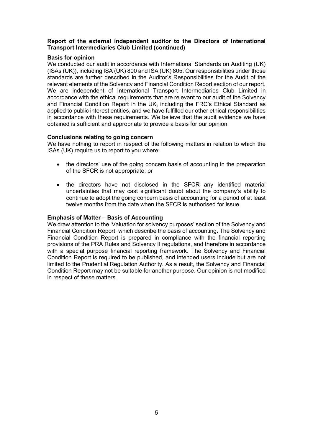## Report of the external independent auditor to the Directors of International Transport Intermediaries Club Limited (continued)

## Basis for opinion

We conducted our audit in accordance with International Standards on Auditing (UK) (ISAs (UK)), including ISA (UK) 800 and ISA (UK) 805. Our responsibilities under those standards are further described in the Auditor's Responsibilities for the Audit of the relevant elements of the Solvency and Financial Condition Report section of our report. We are independent of International Transport Intermediaries Club Limited in accordance with the ethical requirements that are relevant to our audit of the Solvency and Financial Condition Report in the UK, including the FRC's Ethical Standard as applied to public interest entities, and we have fulfilled our other ethical responsibilities in accordance with these requirements. We believe that the audit evidence we have obtained is sufficient and appropriate to provide a basis for our opinion.

## Conclusions relating to going concern

We have nothing to report in respect of the following matters in relation to which the ISAs (UK) require us to report to you where:

- the directors' use of the going concern basis of accounting in the preparation of the SFCR is not appropriate; or
- the directors have not disclosed in the SFCR any identified material uncertainties that may cast significant doubt about the company's ability to continue to adopt the going concern basis of accounting for a period of at least twelve months from the date when the SFCR is authorised for issue.

## Emphasis of Matter – Basis of Accounting

We draw attention to the 'Valuation for solvency purposes' section of the Solvency and Financial Condition Report, which describe the basis of accounting. The Solvency and Financial Condition Report is prepared in compliance with the financial reporting provisions of the PRA Rules and Solvency II regulations, and therefore in accordance with a special purpose financial reporting framework. The Solvency and Financial Condition Report is required to be published, and intended users include but are not limited to the Prudential Regulation Authority. As a result, the Solvency and Financial Condition Report may not be suitable for another purpose. Our opinion is not modified in respect of these matters.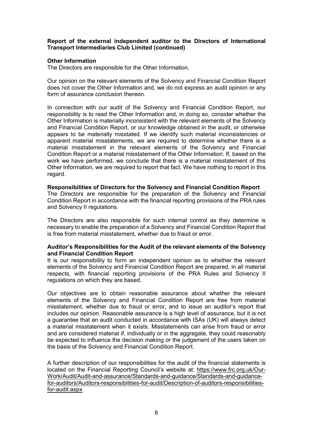## Report of the external independent auditor to the Directors of International Transport Intermediaries Club Limited (continued)

## Other Information

The Directors are responsible for the Other Information.

Our opinion on the relevant elements of the Solvency and Financial Condition Report does not cover the Other Information and, we do not express an audit opinion or any form of assurance conclusion thereon.

In connection with our audit of the Solvency and Financial Condition Report, our responsibility is to read the Other Information and, in doing so, consider whether the Other Information is materially inconsistent with the relevant elements of the Solvency and Financial Condition Report, or our knowledge obtained in the audit, or otherwise appears to be materially misstated. If we identify such material inconsistencies or apparent material misstatements, we are required to determine whether there is a material misstatement in the relevant elements of the Solvency and Financial Condition Report or a material misstatement of the Other Information. If, based on the work we have performed, we conclude that there is a material misstatement of this Other Information, we are required to report that fact. We have nothing to report in this regard.

## Responsibilities of Directors for the Solvency and Financial Condition Report

The Directors are responsible for the preparation of the Solvency and Financial Condition Report in accordance with the financial reporting provisions of the PRA rules and Solvency II regulations.

The Directors are also responsible for such internal control as they determine is necessary to enable the preparation of a Solvency and Financial Condition Report that is free from material misstatement, whether due to fraud or error.

## Auditor's Responsibilities for the Audit of the relevant elements of the Solvency and Financial Condition Report

It is our responsibility to form an independent opinion as to whether the relevant elements of the Solvency and Financial Condition Report are prepared, in all material respects, with financial reporting provisions of the PRA Rules and Solvency II regulations on which they are based.

Our objectives are to obtain reasonable assurance about whether the relevant elements of the Solvency and Financial Condition Report are free from material misstatement, whether due to fraud or error, and to issue an auditor's report that includes our opinion. Reasonable assurance is a high level of assurance, but it is not a guarantee that an audit conducted in accordance with ISAs (UK) will always detect a material misstatement when it exists. Misstatements can arise from fraud or error and are considered material if, individually or in the aggregate, they could reasonably be expected to influence the decision making or the judgement of the users taken on the basis of the Solvency and Financial Condition Report.

A further description of our responsibilities for the audit of the financial statements is located on the Financial Reporting Council's website at: https://www.frc.org.uk/Our-Work/Audit/Audit-and-assurance/Standards-and-guidance/Standards-and-guidancefor-auditors/Auditors-responsibilities-for-audit/Description-of-auditors-responsibilitiesfor-audit.aspx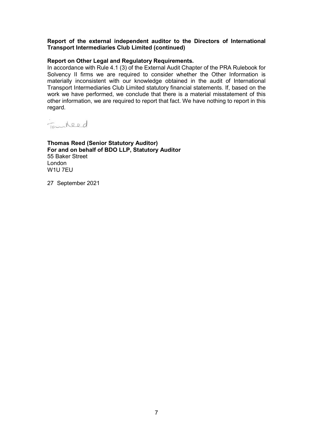## Report of the external independent auditor to the Directors of International Transport Intermediaries Club Limited (continued)

## Report on Other Legal and Regulatory Requirements.

In accordance with Rule 4.1 (3) of the External Audit Chapter of the PRA Rulebook for Solvency II firms we are required to consider whether the Other Information is materially inconsistent with our knowledge obtained in the audit of International Transport Intermediaries Club Limited statutory financial statements. If, based on the work we have performed, we conclude that there is a material misstatement of this other information, we are required to report that fact. We have nothing to report in this regard.

Tankeed

Thomas Reed (Senior Statutory Auditor) For and on behalf of BDO LLP, Statutory Auditor 55 Baker Street London W1U 7EU

27 September 2021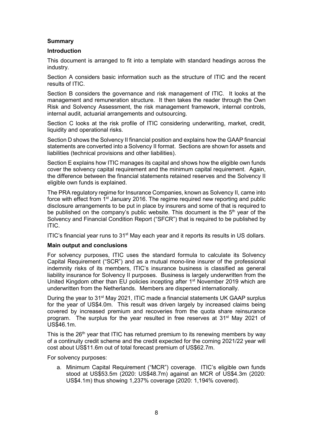## **Summary**

## Introduction

This document is arranged to fit into a template with standard headings across the industry.

Section A considers basic information such as the structure of ITIC and the recent results of ITIC.

Section B considers the governance and risk management of ITIC. It looks at the management and remuneration structure. It then takes the reader through the Own Risk and Solvency Assessment, the risk management framework, internal controls, internal audit, actuarial arrangements and outsourcing.

Section C looks at the risk profile of ITIC considering underwriting, market, credit, liquidity and operational risks.

Section D shows the Solvency II financial position and explains how the GAAP financial statements are converted into a Solvency II format. Sections are shown for assets and liabilities (technical provisions and other liabilities).

Section E explains how ITIC manages its capital and shows how the eligible own funds cover the solvency capital requirement and the minimum capital requirement. Again, the difference between the financial statements retained reserves and the Solvency II eligible own funds is explained.

The PRA regulatory regime for Insurance Companies, known as Solvency II, came into force with effect from 1st January 2016. The regime required new reporting and public disclosure arrangements to be put in place by insurers and some of that is required to be published on the company's public website. This document is the  $5<sup>th</sup>$  year of the Solvency and Financial Condition Report ("SFCR") that is required to be published by ITIC.

ITIC's financial year runs to 31<sup>st</sup> May each year and it reports its results in US dollars.

## Main output and conclusions

For solvency purposes, ITIC uses the standard formula to calculate its Solvency Capital Requirement ("SCR") and as a mutual mono-line insurer of the professional indemnity risks of its members, ITIC's insurance business is classified as general liability insurance for Solvency II purposes. Business is largely underwritten from the United Kingdom other than EU policies incepting after 1<sup>st</sup> November 2019 which are underwritten from the Netherlands. Members are dispersed internationally.

During the year to 31<sup>st</sup> May 2021, ITIC made a financial statements UK GAAP surplus for the year of US\$4.0m. This result was driven largely by increased claims being covered by increased premium and recoveries from the quota share reinsurance program. The surplus for the year resulted in free reserves at  $31<sup>st</sup>$  May 2021 of US\$46.1m.

This is the  $26<sup>th</sup>$  year that ITIC has returned premium to its renewing members by way of a continuity credit scheme and the credit expected for the coming 2021/22 year will cost about US\$11.6m out of total forecast premium of US\$62.7m.

For solvency purposes:

a. Minimum Capital Requirement ("MCR") coverage. ITIC's eligible own funds stood at US\$53.5m (2020: US\$48.7m) against an MCR of US\$4.3m (2020: US\$4.1m) thus showing 1,237% coverage (2020: 1,194% covered).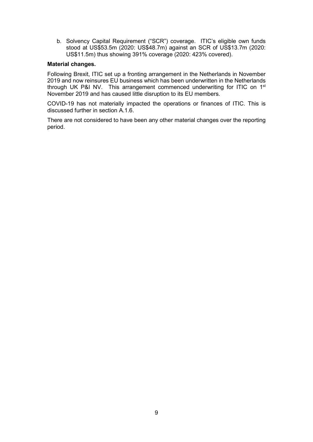b. Solvency Capital Requirement ("SCR") coverage. ITIC's eligible own funds stood at US\$53.5m (2020: US\$48.7m) against an SCR of US\$13.7m (2020: US\$11.5m) thus showing 391% coverage (2020: 423% covered).

## Material changes.

Following Brexit, ITIC set up a fronting arrangement in the Netherlands in November 2019 and now reinsures EU business which has been underwritten in the Netherlands through UK P&I NV. This arrangement commenced underwriting for ITIC on 1<sup>st</sup> November 2019 and has caused little disruption to its EU members.

COVID-19 has not materially impacted the operations or finances of ITIC. This is discussed further in section A.1.6.

There are not considered to have been any other material changes over the reporting period.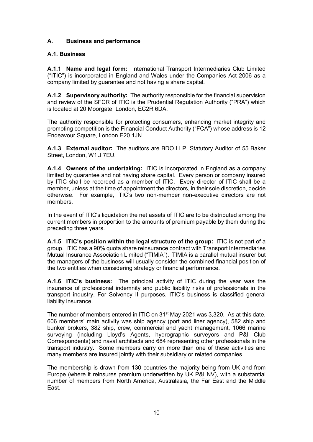# A. Business and performance

## A.1. Business

A.1.1 Name and legal form: International Transport Intermediaries Club Limited ("ITIC") is incorporated in England and Wales under the Companies Act 2006 as a company limited by guarantee and not having a share capital.

A.1.2 Supervisory authority: The authority responsible for the financial supervision and review of the SFCR of ITIC is the Prudential Regulation Authority ("PRA") which is located at 20 Moorgate, London, EC2R 6DA.

The authority responsible for protecting consumers, enhancing market integrity and promoting competition is the Financial Conduct Authority ("FCA") whose address is 12 Endeavour Square, London E20 1JN.

A.1.3 External auditor: The auditors are BDO LLP, Statutory Auditor of 55 Baker Street, London, W1U 7EU.

A.1.4 Owners of the undertaking: ITIC is incorporated in England as a company limited by guarantee and not having share capital. Every person or company insured by ITIC shall be recorded as a member of ITIC. Every director of ITIC shall be a member, unless at the time of appointment the directors, in their sole discretion, decide otherwise. For example, ITIC's two non-member non-executive directors are not members.

In the event of ITIC's liquidation the net assets of ITIC are to be distributed among the current members in proportion to the amounts of premium payable by them during the preceding three years.

A.1.5 ITIC's position within the legal structure of the group: ITIC is not part of a group. ITIC has a 90% quota share reinsurance contract with Transport Intermediaries Mutual Insurance Association Limited ("TIMIA"). TIMIA is a parallel mutual insurer but the managers of the business will usually consider the combined financial position of the two entities when considering strategy or financial performance.

A.1.6 ITIC's business: The principal activity of ITIC during the year was the insurance of professional indemnity and public liability risks of professionals in the transport industry. For Solvency II purposes, ITIC's business is classified general liability insurance.

The number of members entered in ITIC on 31<sup>st</sup> May 2021 was 3,320. As at this date, 606 members' main activity was ship agency (port and liner agency), 582 ship and bunker brokers, 382 ship, crew, commercial and yacht management, 1066 marine surveying (including Lloyd's Agents, hydrographic surveyors and P&I Club Correspondents) and naval architects and 684 representing other professionals in the transport industry. Some members carry on more than one of these activities and many members are insured jointly with their subsidiary or related companies.

The membership is drawn from 130 countries the majority being from UK and from Europe (where it reinsures premium underwritten by UK P&I NV), with a substantial number of members from North America, Australasia, the Far East and the Middle East.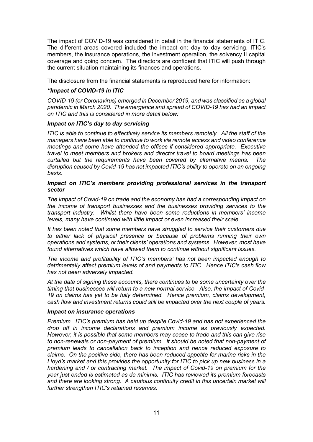The impact of COVID-19 was considered in detail in the financial statements of ITIC. The different areas covered included the impact on: day to day servicing, ITIC's members, the insurance operations, the investment operation, the solvency II capital coverage and going concern. The directors are confident that ITIC will push through the current situation maintaining its finances and operations.

The disclosure from the financial statements is reproduced here for information:

## "Impact of COVID-19 in ITIC

COVID-19 (or Coronavirus) emerged in December 2019, and was classified as a global pandemic in March 2020. The emergence and spread of COVID-19 has had an impact on ITIC and this is considered in more detail below:

## Impact on ITIC's day to day servicing

ITIC is able to continue to effectively service its members remotely. All the staff of the managers have been able to continue to work via remote access and video conference meetings and some have attended the offices if considered appropriate. Executive travel to meet members and brokers and director travel to board meetings has been curtailed but the requirements have been covered by alternative means. The disruption caused by Covid-19 has not impacted ITIC's ability to operate on an ongoing basis.

## Impact on ITIC's members providing professional services in the transport sector

The impact of Covid-19 on trade and the economy has had a corresponding impact on the income of transport businesses and the businesses providing services to the transport industry. Whilst there have been some reductions in members' income levels, many have continued with little impact or even increased their scale.

It has been noted that some members have struggled to service their customers due to either lack of physical presence or because of problems running their own operations and systems, or their clients' operations and systems. However, most have found alternatives which have allowed them to continue without significant issues.

The income and profitability of ITIC's members' has not been impacted enough to detrimentally affect premium levels of and payments to ITIC. Hence ITIC's cash flow has not been adversely impacted.

At the date of signing these accounts, there continues to be some uncertainty over the timing that businesses will return to a new normal service. Also, the impact of Covid-19 on claims has yet to be fully determined. Hence premium, claims development, cash flow and investment returns could still be impacted over the next couple of years.

## Impact on insurance operations

Premium. ITIC's premium has held up despite Covid-19 and has not experienced the drop off in income declarations and premium income as previously expected. However, it is possible that some members may cease to trade and this can give rise to non-renewals or non-payment of premium. It should be noted that non-payment of premium leads to cancellation back to inception and hence reduced exposure to claims. On the positive side, there has been reduced appetite for marine risks in the Lloyd's market and this provides the opportunity for ITIC to pick up new business in a hardening and / or contracting market. The impact of Covid-19 on premium for the year just ended is estimated as de minimis. ITIC has reviewed its premium forecasts and there are looking strong. A cautious continuity credit in this uncertain market will further strengthen ITIC's retained reserves.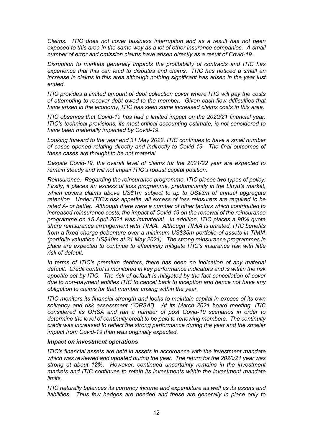Claims. ITIC does not cover business interruption and as a result has not been exposed to this area in the same way as a lot of other insurance companies. A small number of error and omission claims have arisen directly as a result of Covid-19.

Disruption to markets generally impacts the profitability of contracts and ITIC has experience that this can lead to disputes and claims. ITIC has noticed a small an increase in claims in this area although nothing significant has arisen in the year just ended.

ITIC provides a limited amount of debt collection cover where ITIC will pay the costs of attempting to recover debt owed to the member. Given cash flow difficulties that have arisen in the economy, ITIC has seen some increased claims costs in this area.

ITIC observes that Covid-19 has had a limited impact on the 2020/21 financial year. ITIC's technical provisions, its most critical accounting estimate, is not considered to have been materially impacted by Covid-19.

Looking forward to the year end 31 May 2022, ITIC continues to have a small number of cases opened relating directly and indirectly to Covid-19. The final outcomes of these cases are thought to be not material.

Despite Covid-19, the overall level of claims for the 2021/22 year are expected to remain steady and will not impair ITIC's robust capital position.

Reinsurance. Regarding the reinsurance programme, ITIC places two types of policy: Firstly, it places an excess of loss programme, predominantly in the Lloyd's market, which covers claims above US\$1m subject to up to US\$3m of annual aggregate retention. Under ITIC's risk appetite, all excess of loss reinsurers are required to be rated A- or better. Although there were a number of other factors which contributed to increased reinsurance costs, the impact of Covid-19 on the renewal of the reinsurance programme on 15 April 2021 was immaterial. In addition, ITIC places a 90% quota share reinsurance arrangement with TIMIA. Although TIMIA is unrated, ITIC benefits from a fixed charge debenture over a minimum US\$35m portfolio of assets in TIMIA (portfolio valuation US\$40m at 31 May 2021). The strong reinsurance programmes in place are expected to continue to effectively mitigate ITIC's insurance risk with little risk of default.

In terms of ITIC's premium debtors, there has been no indication of any material default. Credit control is monitored in key performance indicators and is within the risk appetite set by ITIC. The risk of default is mitigated by the fact cancellation of cover due to non-payment entitles ITIC to cancel back to inception and hence not have any obligation to claims for that member arising within the year.

ITIC monitors its financial strength and looks to maintain capital in excess of its own solvency and risk assessment ("ORSA"). At its March 2021 board meeting, ITIC considered its ORSA and ran a number of post Covid-19 scenarios in order to determine the level of continuity credit to be paid to renewing members. The continuity credit was increased to reflect the strong performance during the year and the smaller impact from Covid-19 than was originally expected.

## Impact on investment operations

ITIC's financial assets are held in assets in accordance with the investment mandate which was reviewed and updated during the year. The return for the 2020/21 year was strong at about 12%. However, continued uncertainty remains in the investment markets and ITIC continues to retain its investments within the investment mandate limits.

ITIC naturally balances its currency income and expenditure as well as its assets and liabilities. Thus few hedges are needed and these are generally in place only to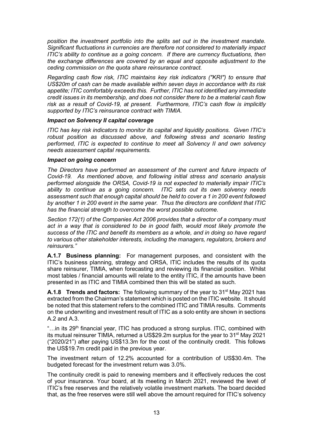position the investment portfolio into the splits set out in the investment mandate. Significant fluctuations in currencies are therefore not considered to materially impact ITIC's ability to continue as a going concern. If there are currency fluctuations, then the exchange differences are covered by an equal and opposite adjustment to the ceding commission on the quota share reinsurance contract.

Regarding cash flow risk, ITIC maintains key risk indicators ("KRI") to ensure that US\$20m of cash can be made available within seven days in accordance with its risk appetite; ITIC comfortably exceeds this. Further, ITIC has not identified any immediate credit issues in its membership, and does not consider there to be a material cash flow risk as a result of Covid-19, at present. Furthermore, ITIC's cash flow is implicitly supported by ITIC's reinsurance contract with TIMIA.

## Impact on Solvency II capital coverage

ITIC has key risk indicators to monitor its capital and liquidity positions. Given ITIC's robust position as discussed above, and following stress and scenario testing performed, ITIC is expected to continue to meet all Solvency II and own solvency needs assessment capital requirements.

## Impact on going concern

The Directors have performed an assessment of the current and future impacts of Covid-19. As mentioned above, and following initial stress and scenario analysis performed alongside the ORSA, Covid-19 is not expected to materially impair ITIC's ability to continue as a going concern. ITIC sets out its own solvency needs assessment such that enough capital should be held to cover a 1 in 200 event followed by another 1 in 200 event in the same year. Thus the directors are confident that ITIC has the financial strength to overcome the worst possible outcome.

Section 172(1) of the Companies Act 2006 provides that a director of a company must act in a way that is considered to be in good faith, would most likely promote the success of the ITIC and benefit its members as a whole, and in doing so have regard to various other stakeholder interests, including the managers, regulators, brokers and reinsurers."

A.1.7 Business planning: For management purposes, and consistent with the ITIC's business planning, strategy and ORSA, ITIC includes the results of its quota share reinsurer, TIMIA, when forecasting and reviewing its financial position. Whilst most tables / financial amounts will relate to the entity ITIC, if the amounts have been presented in as ITIC and TIMIA combined then this will be stated as such.

A.1.8 Trends and factors: The following summary of the year to 31<sup>st</sup> May 2021 has extracted from the Chairman's statement which is posted on the ITIC website. It should be noted that this statement refers to the combined ITIC and TIMIA results. Comments on the underwriting and investment result of ITIC as a solo entity are shown in sections A.2 and A.3.

"...in its 29<sup>th</sup> financial year, ITIC has produced a strong surplus. ITIC, combined with its mutual reinsurer TIMIA, returned a US\$29.2m surplus for the year to 31<sup>st</sup> May 2021 ("2020/21") after paying US\$13.3m for the cost of the continuity credit. This follows the US\$19.7m credit paid in the previous year.

The investment return of 12.2% accounted for a contribution of US\$30.4m. The budgeted forecast for the investment return was 3.0%.

The continuity credit is paid to renewing members and it effectively reduces the cost of your insurance. Your board, at its meeting in March 2021, reviewed the level of ITIC's free reserves and the relatively volatile investment markets. The board decided that, as the free reserves were still well above the amount required for ITIC's solvency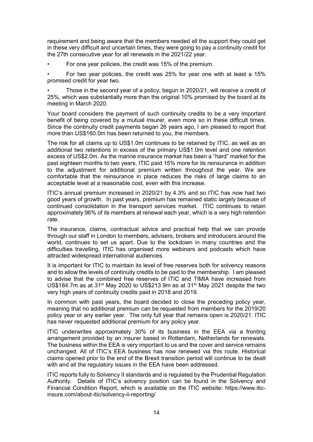requirement and being aware that the members needed all the support they could get in these very difficult and uncertain times, they were going to pay a continuity credit for the 27th consecutive year for all renewals in the 2021/22 year.

• For one year policies, the credit was 15% of the premium.

• For two year policies, the credit was 25% for year one with at least a 15% promised credit for year two.

Those in the second year of a policy, begun in 2020/21, will receive a credit of 25%, which was substantially more than the original 10% promised by the board at its meeting in March 2020.

Your board considers the payment of such continuity credits to be a very important benefit of being covered by a mutual insurer, even more so in these difficult times. Since the continuity credit payments began 26 years ago, I am pleased to report that more than US\$160.0m has been returned to you, the members.

The risk for all claims up to US\$1.0m continues to be retained by ITIC, as well as an additional two retentions in excess of the primary US\$1.0m level and one retention excess of US\$2.0m. As the marine insurance market has been a "hard" market for the past eighteen months to two years, ITIC paid 15% more for its reinsurance in addition to the adjustment for additional premium written throughout the year. We are comfortable that the reinsurance in place reduces the risks of large claims to an acceptable level at a reasonable cost, even with this increase.

ITIC's annual premium increased in 2020/21 by 4.3% and so ITIC has now had two good years of growth. In past years, premium has remained static largely because of continued consolidation in the transport services market. ITIC continues to retain approximately 96% of its members at renewal each year, which is a very high retention rate.

The insurance, claims, contractual advice and practical help that we can provide through our staff in London to members, advisers, brokers and introducers around the world, continues to set us apart. Due to the lockdown in many countries and the difficulties travelling, ITIC has organised more webinars and podcasts which have attracted widespread international audiences.

It is important for ITIC to maintain its level of free reserves both for solvency reasons and to allow the levels of continuity credits to be paid to the membership. I am pleased to advise that the combined free reserves of ITIC and TIMIA have increased from US\$184.7m as at 31st May 2020 to US\$213.9m as at 31st May 2021 despite the two very high years of continuity credits paid in 2018 and 2019.

In common with past years, the board decided to close the preceding policy year, meaning that no additional premium can be requested from members for the 2019/20 policy year or any earlier year. The only full year that remains open is 2020/21. ITIC has never requested additional premium for any policy year.

ITIC underwrites approximately 30% of its business in the EEA via a fronting arrangement provided by an insurer based in Rotterdam, Netherlands for renewals. The business within the EEA is very important to us and the cover and service remains unchanged. All of ITIC's EEA business has now renewed via this route. Historical claims opened prior to the end of the Brexit transition period will continue to be dealt with and all the regulatory issues in the EEA have been addressed.

ITIC reports fully to Solvency II standards and is regulated by the Prudential Regulation Authority. Details of ITIC's solvency position can be found in the Solvency and Financial Condition Report, which is available on the ITIC website: https://www.iticinsure.com/about-itic/solvency-ii-reporting/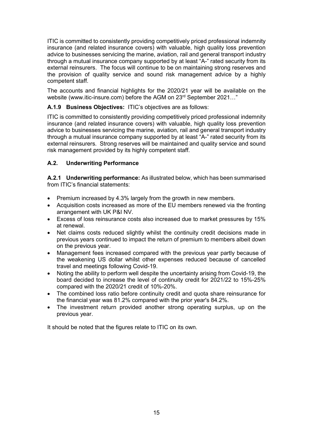ITIC is committed to consistently providing competitively priced professional indemnity insurance (and related insurance covers) with valuable, high quality loss prevention advice to businesses servicing the marine, aviation, rail and general transport industry through a mutual insurance company supported by at least "A-" rated security from its external reinsurers. The focus will continue to be on maintaining strong reserves and the provision of quality service and sound risk management advice by a highly competent staff.

The accounts and financial highlights for the 2020/21 year will be available on the website (www.itic-insure.com) before the AGM on 23<sup>rd</sup> September 2021..."

A.1.9 Business Objectives: ITIC's objectives are as follows:

ITIC is committed to consistently providing competitively priced professional indemnity insurance (and related insurance covers) with valuable, high quality loss prevention advice to businesses servicing the marine, aviation, rail and general transport industry through a mutual insurance company supported by at least "A-" rated security from its external reinsurers. Strong reserves will be maintained and quality service and sound risk management provided by its highly competent staff.

# A.2. Underwriting Performance

A.2.1 Underwriting performance: As illustrated below, which has been summarised from ITIC's financial statements:

- Premium increased by 4.3% largely from the growth in new members.
- Acquisition costs increased as more of the EU members renewed via the fronting arrangement with UK P&I NV.
- Excess of loss reinsurance costs also increased due to market pressures by 15% at renewal.
- Net claims costs reduced slightly whilst the continuity credit decisions made in previous years continued to impact the return of premium to members albeit down on the previous year.
- Management fees increased compared with the previous year partly because of the weakening US dollar whilst other expenses reduced because of cancelled travel and meetings following Covid-19.
- Noting the ability to perform well despite the uncertainty arising from Covid-19, the board decided to increase the level of continuity credit for 2021/22 to 15%-25% compared with the 2020/21 credit of 10%-20%.
- The combined loss ratio before continuity credit and quota share reinsurance for the financial year was 81.2% compared with the prior year's 84.2%.
- The investment return provided another strong operating surplus, up on the previous year.

It should be noted that the figures relate to ITIC on its own.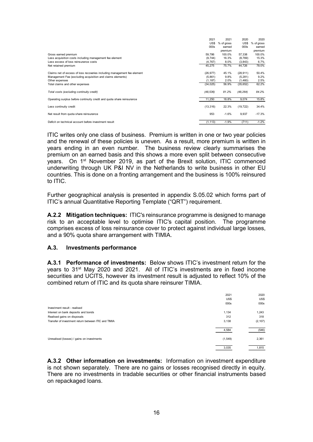|                                                                                                  | 2021                | 2021                      | 2020                 | 2020                      |
|--------------------------------------------------------------------------------------------------|---------------------|---------------------------|----------------------|---------------------------|
|                                                                                                  | 000s                | US\$ % of gross<br>earned | 000s                 | US\$ % of gross<br>earned |
| Gross earned premium                                                                             | 59,786              | premium<br>100.0%         | 57,338               | premium<br>100.0%         |
| Less acquisition costs including management fee element<br>Less excess of loss reinsurance costs | (9,744)<br>(4, 767) | 16.3%<br>8.0%             | (8, 769)<br>(3, 843) | 15.3%<br>6.7%             |
| Net retained premium                                                                             | 45,275              | 75.7%                     | 44,726               | 78.0%                     |
| Claims net of excess of loss recoveries including management fee element                         | (26, 977)           | 45.1%                     | (28, 911)            | 50.4%                     |
| Management Fee (excluding acquisition and claims elements)<br>Other expenses                     | (5,861)<br>(1, 187) | 9.8%<br>2.0%              | (5, 281)<br>(1,460)  | 9.2%<br>2.5%              |
| Total claims and other expenses                                                                  | (34, 025)           | 56.9%                     | (35, 652)            | 62.2%                     |
| Total costs (excluding continuity credit)                                                        | (48, 536)           | 81.2%                     | (48, 264)            | 84.2%                     |
| Operating surplus before continuity credit and quota share reinsurance                           | 11,250              | 18.8%                     | 9,074                | 15.8%                     |
| Less continuity credit                                                                           | (13, 316)           | 22.3%                     | (19, 722)            | 34.4%                     |
| Net result from quota share reinsurance                                                          | 953                 | $-1.6%$                   | 9,937                | $-17.3%$                  |

ITIC writes only one class of business. Premium is written in one or two year policies and the renewal of these policies is uneven. As a result, more premium is written in years ending in an even number. The business review clearly summarises the premium on an earned basis and this shows a more even split between consecutive years. On 1<sup>st</sup> November 2019, as part of the Brexit solution, ITIC commenced underwriting through UK P&I NV in the Netherlands to write business in other EU countries. This is done on a fronting arrangement and the business is 100% reinsured to ITIC.

## A.3. Investments performance

| years. On 1 <sup>st</sup> November 2019, as part of the Brexit solution, ITIC commenced<br>underwriting through UK P&I NV in the Netherlands to write business in other EU<br>countries. This is done on a fronting arrangement and the business is 100% reinsured<br>to ITIC.                                                        |              |              |  |
|---------------------------------------------------------------------------------------------------------------------------------------------------------------------------------------------------------------------------------------------------------------------------------------------------------------------------------------|--------------|--------------|--|
| Further geographical analysis is presented in appendix S.05.02 which forms part of<br>ITIC's annual Quantitative Reporting Template ("QRT") requirement.                                                                                                                                                                              |              |              |  |
| <b>A.2.2</b> Mitigation techniques: ITIC's reinsurance programme is designed to manage<br>risk to an acceptable level to optimise ITIC's capital position. The programme<br>comprises excess of loss reinsurance cover to protect against individual large losses,<br>and a 90% quota share arrangement with TIMIA.                   |              |              |  |
| <b>Investments performance</b><br>A.3.                                                                                                                                                                                                                                                                                                |              |              |  |
| <b>A.3.1 Performance of investments:</b> Below shows ITIC's investment return for the<br>years to $31^{st}$ May 2020 and 2021. All of ITIC's investments are in fixed income<br>securities and UCITS, however its investment result is adjusted to reflect 10% of the<br>combined return of ITIC and its quota share reinsurer TIMIA. | 2021         | 2020         |  |
|                                                                                                                                                                                                                                                                                                                                       | US\$<br>000s | US\$<br>000s |  |
| Investment result - realised                                                                                                                                                                                                                                                                                                          |              |              |  |
| Interest on bank deposits and bonds                                                                                                                                                                                                                                                                                                   | 1,134        | 1,243        |  |
| Realised gains on disposals                                                                                                                                                                                                                                                                                                           | 312          | 318          |  |
| Transfer of investment return between ITIC and TIMIA                                                                                                                                                                                                                                                                                  | 3,138        | (2, 107)     |  |
|                                                                                                                                                                                                                                                                                                                                       | 4,584        | (546)        |  |
| Unrealised (losses) / gains on investments                                                                                                                                                                                                                                                                                            | (1, 549)     | 2,361        |  |
|                                                                                                                                                                                                                                                                                                                                       | 3,035        | 1,815        |  |
| A.3.2 Other information on investments: Information on investment expenditure<br>is not shown separately. There are no gains or losses recognised directly in equity.                                                                                                                                                                 |              |              |  |

A.3.2 Other information on investments: Information on investment expenditure is not shown separately. There are no gains or losses recognised directly in equity. There are no investments in tradable securities or other financial instruments based on repackaged loans.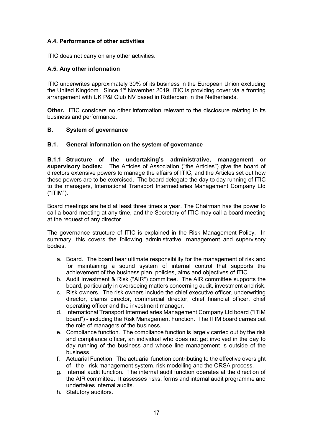## A.4. Performance of other activities

ITIC does not carry on any other activities.

## A.5. Any other information

ITIC underwrites approximately 30% of its business in the European Union excluding the United Kingdom. Since  $1<sup>st</sup>$  November 2019, ITIC is providing cover via a fronting arrangement with UK P&I Club NV based in Rotterdam in the Netherlands.

Other. ITIC considers no other information relevant to the disclosure relating to its business and performance.

## B. System of governance

## B.1. General information on the system of governance

B.1.1 Structure of the undertaking's administrative, management or supervisory bodies: The Articles of Association ("the Articles") give the board of directors extensive powers to manage the affairs of ITIC, and the Articles set out how these powers are to be exercised. The board delegate the day to day running of ITIC to the managers, International Transport Intermediaries Management Company Ltd  $(''TIM')$ .

Board meetings are held at least three times a year. The Chairman has the power to call a board meeting at any time, and the Secretary of ITIC may call a board meeting at the request of any director.

The governance structure of ITIC is explained in the Risk Management Policy. In summary, this covers the following administrative, management and supervisory bodies.

- a. Board. The board bear ultimate responsibility for the management of risk and for maintaining a sound system of internal control that supports the achievement of the business plan, policies, aims and objectives of ITIC.
- b. Audit Investment & Risk ("AIR") committee. The AIR committee supports the board, particularly in overseeing matters concerning audit, investment and risk.
- c. Risk owners. The risk owners include the chief executive officer, underwriting director, claims director, commercial director, chief financial officer, chief operating officer and the investment manager.
- d. International Transport Intermediaries Management Company Ltd board ("ITIM board") - including the Risk Management Function. The ITIM board carries out the role of managers of the business.
- e. Compliance function. The compliance function is largely carried out by the risk and compliance officer, an individual who does not get involved in the day to day running of the business and whose line management is outside of the business.
- f. Actuarial Function. The actuarial function contributing to the effective oversight of the risk management system, risk modelling and the ORSA process.
- g. Internal audit function. The internal audit function operates at the direction of the AIR committee. It assesses risks, forms and internal audit programme and undertakes internal audits.
- h. Statutory auditors.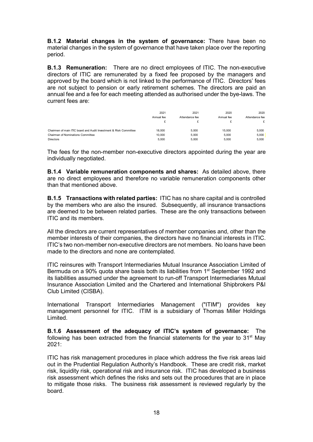**B.1.2 Material changes in the system of governance:** There have been no material changes in the system of governance that have taken place over the reporting period.

B.1.3 Remuneration: There are no direct employees of ITIC. The non-executive directors of ITIC are remunerated by a fixed fee proposed by the managers and approved by the board which is not linked to the performance of ITIC. Directors' fees are not subject to pension or early retirement schemes. The directors are paid an annual fee and a fee for each meeting attended as authorised under the bye-laws. The current fees are: 2021 2021 2020 2020 Annual fee Attendance fee Annual fee Attendance fee **E.1.2 Material changes in the system of governance:** There have been no<br>ematerial changes in the system of governance that have taken place over the reporting<br>eriod.<br>**3 Remuneration:** There are no direct employees of ITI **B.1.2 Material changes in the system of governance:** There have been no<br>material changes in the system of governance that have taken place over the reporting<br> **B.1.3 Remuneration:** There are no direct employees of ITIC. **B.1.2 Material changes in the system of governance:** There have been no<br>material changes in the system of governance that have taken place over the reporting<br>dericd.<br>**B.1.3 Remuneration:** There are no direct employees of

|                                                                   | 2021       | 2021           | 2020       | 2020           |
|-------------------------------------------------------------------|------------|----------------|------------|----------------|
|                                                                   | Annual fee | Attendance fee | Annual fee | Attendance fee |
| Chairmen of main ITIC board and Audit Investment & Risk Committee | 18.000     | 5.000          | 15,000     | 5,000          |
| <b>Chairman of Nominations Committee</b>                          | 10.000     | 5.000          | 5.000      | 5,000          |
| <b>Directors</b>                                                  | 5.000      | 5.000          | 5.000      | 5.000          |

The fees for the non-member non-executive directors appointed during the year are individually negotiated.

B.1.4 Variable remuneration components and shares: As detailed above, there are no direct employees and therefore no variable remuneration components other than that mentioned above.

B.1.5 Transactions with related parties: ITIC has no share capital and is controlled by the members who are also the insured. Subsequently, all insurance transactions are deemed to be between related parties. These are the only transactions between ITIC and its members.

All the directors are current representatives of member companies and, other than the member interests of their companies, the directors have no financial interests in ITIC. ITIC's two non-member non-executive directors are not members. No loans have been made to the directors and none are contemplated.

ITIC reinsures with Transport Intermediaries Mutual Insurance Association Limited of Bermuda on a 90% quota share basis both its liabilities from 1<sup>st</sup> September 1992 and its liabilities assumed under the agreement to run-off Transport Intermediaries Mutual Insurance Association Limited and the Chartered and International Shipbrokers P&I Club Limited (CISBA).

International Transport Intermediaries Management ("ITIM") provides key management personnel for ITIC. ITIM is a subsidiary of Thomas Miller Holdings Limited.

B.1.6 Assessment of the adequacy of ITIC's system of governance: The following has been extracted from the financial statements for the year to  $31<sup>st</sup>$  May 2021:

ITIC has risk management procedures in place which address the five risk areas laid out in the Prudential Regulation Authority's Handbook. These are credit risk, market risk, liquidity risk, operational risk and insurance risk. ITIC has developed a business risk assessment which defines the risks and sets out the procedures that are in place to mitigate those risks. The business risk assessment is reviewed regularly by the board.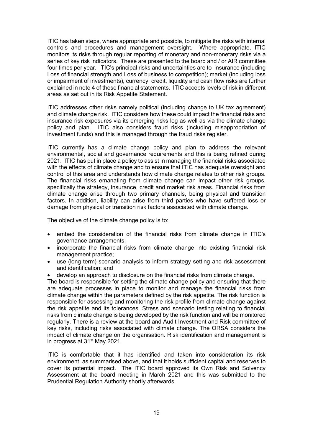ITIC has taken steps, where appropriate and possible, to mitigate the risks with internal controls and procedures and management oversight. Where appropriate, ITIC monitors its risks through regular reporting of monetary and non-monetary risks via a series of key risk indicators. These are presented to the board and / or AIR committee four times per year. ITIC's principal risks and uncertainties are to insurance (including Loss of financial strength and Loss of business to competition); market (including loss or impairment of investments), currency, credit, liquidity and cash flow risks are further explained in note 4 of these financial statements. ITIC accepts levels of risk in different areas as set out in its Risk Appetite Statement.

ITIC addresses other risks namely political (including change to UK tax agreement) and climate change risk. ITIC considers how these could impact the financial risks and insurance risk exposures via its emerging risks log as well as via the climate change policy and plan. ITIC also considers fraud risks (including misappropriation of investment funds) and this is managed through the fraud risks register.

ITIC currently has a climate change policy and plan to address the relevant environmental, social and governance requirements and this is being refined during 2021. ITIC has put in place a policy to assist in managing the financial risks associated with the effects of climate change and to ensure that ITIC has adequate oversight and control of this area and understands how climate change relates to other risk groups. The financial risks emanating from climate change can impact other risk groups, specifically the strategy, insurance, credit and market risk areas. Financial risks from climate change arise through two primary channels, being physical and transition factors. In addition, liability can arise from third parties who have suffered loss or damage from physical or transition risk factors associated with climate change.

The objective of the climate change policy is to:

- embed the consideration of the financial risks from climate change in ITIC's governance arrangements;
- incorporate the financial risks from climate change into existing financial risk management practice;
- use (long term) scenario analysis to inform strategy setting and risk assessment and identification; and
- develop an approach to disclosure on the financial risks from climate change.

The board is responsible for setting the climate change policy and ensuring that there are adequate processes in place to monitor and manage the financial risks from climate change within the parameters defined by the risk appetite. The risk function is responsible for assessing and monitoring the risk profile from climate change against the risk appetite and its tolerances. Stress and scenario testing relating to financial risks from climate change is being developed by the risk function and will be monitored regularly. There is a review at the board and Audit Investment and Risk committee of key risks, including risks associated with climate change. The ORSA considers the impact of climate change on the organisation. Risk identification and management is in progress at 31<sup>st</sup> May 2021.

ITIC is comfortable that it has identified and taken into consideration its risk environment, as summarised above, and that it holds sufficient capital and reserves to cover its potential impact. The ITIC board approved its Own Risk and Solvency Assessment at the board meeting in March 2021 and this was submitted to the Prudential Regulation Authority shortly afterwards.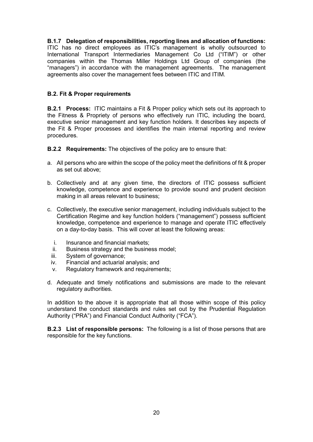## B.1.7 Delegation of responsibilities, reporting lines and allocation of functions:

ITIC has no direct employees as ITIC's management is wholly outsourced to International Transport Intermediaries Management Co Ltd ("ITIM") or other companies within the Thomas Miller Holdings Ltd Group of companies (the "managers") in accordance with the management agreements. The management agreements also cover the management fees between ITIC and ITIM.

## B.2. Fit & Proper requirements

B.2.1 Process: ITIC maintains a Fit & Proper policy which sets out its approach to the Fitness & Propriety of persons who effectively run ITIC, including the board, executive senior management and key function holders. It describes key aspects of the Fit & Proper processes and identifies the main internal reporting and review procedures.

**B.2.2 Requirements:** The objectives of the policy are to ensure that:

- a. All persons who are within the scope of the policy meet the definitions of fit & proper as set out above;
- b. Collectively and at any given time, the directors of ITIC possess sufficient knowledge, competence and experience to provide sound and prudent decision making in all areas relevant to business;
- c. Collectively, the executive senior management, including individuals subject to the Certification Regime and key function holders ("management") possess sufficient knowledge, competence and experience to manage and operate ITIC effectively on a day-to-day basis. This will cover at least the following areas:
	- i. Insurance and financial markets;
	- ii. Business strategy and the business model;
	- iii. System of governance;
	- iv. Financial and actuarial analysis; and
	- v. Regulatory framework and requirements;
- d. Adequate and timely notifications and submissions are made to the relevant regulatory authorities.

In addition to the above it is appropriate that all those within scope of this policy understand the conduct standards and rules set out by the Prudential Regulation Authority ("PRA") and Financial Conduct Authority ("FCA").

B.2.3 List of responsible persons: The following is a list of those persons that are responsible for the key functions.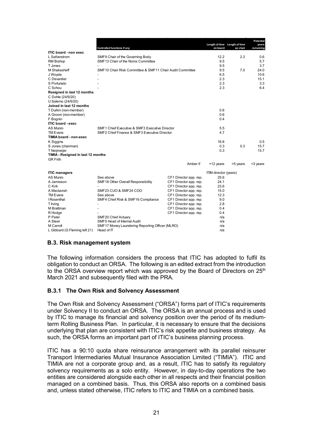| Length of time Length of time<br>Controlled functions if any<br>on board<br>as chair<br>ITIC board - non exec<br>SMF9 Chair of the Governing Body<br>2.3<br>L Safverstrom<br>12.2<br>RM Bishop<br>SMF13 Chair of the Noms Committee<br>9.5<br>9.5<br>T Jones<br>M Shakesheff<br>SMF10 Chair Risk Committee & SMF11 Chair Audit Committee<br>9.5<br>7.0<br>6.5<br>J Woyda<br>2.3<br>C Devantier<br>2.3<br>S Portunato<br>2.3<br>C Schou<br>Resigned in last 12 months<br>C Dohle (24/9/20)<br>U Salerno (24/9/20)<br>Joined in last 12 months<br>T Durkin (non-member)<br>0.6<br>A Groom (non-member)<br>0.6<br>F Bognin<br>0.4<br><b>ITIC board - exec</b><br>AS Munro<br>SMF1 Chief Executive & SMF3 Executive Director<br>5.5<br><b>TM Evans</b><br>SMF2 Chief Finance & SMF3 Executive Director<br>4.7<br>TIMIA board - non-exec<br>K Siggins<br>16.8<br>0.3<br>S Jones (chairman)<br>0.3<br>T Neijmeijer<br>0.3<br>TIMIA - Resigned in last 12 months<br><b>GR Frith</b><br>Amber if<br>>5 years<br>>12 years<br><b>ITIC managers</b><br>ITIM director (years)<br>CF1 Director app. rep.<br>AS Munro<br>See above<br>25.6<br>A Jamieson<br>SMF18 Other Overall Responsibility<br>CF1 Director app. rep.<br>24.1<br>C Kirk<br>23.6<br>CF1 Director app. rep.<br>SMF23 CUO & SMF24 COO<br>CF1 Director app. rep.<br>15.0<br>A Mactavish<br>TM Evans<br>See above<br>CF1 Director app. rep.<br>12.3<br>9.0<br>l Rosenthal<br>SMF4 Chief Risk & SMF16 Compliance<br>CF1 Director app. rep.<br>CF1 Director app. rep.<br>2.8<br>T Irving<br>CF1 Director app. rep.<br>0.4<br>M Brattman<br>R Hodge<br>CF1 Director app. rep.<br>0.4<br>P Patel<br>SMF20 Chief Actuary<br>n/a<br>SMF5 Head of Internal Audit<br>A Steet<br>n/a<br>M Carroll<br>SMF17 Money Laundering Reporting Officer (MLRO)<br>n/a<br>L Gibbard (G Fleming left 21)<br>Head of IT<br>n/a |           |  |
|-----------------------------------------------------------------------------------------------------------------------------------------------------------------------------------------------------------------------------------------------------------------------------------------------------------------------------------------------------------------------------------------------------------------------------------------------------------------------------------------------------------------------------------------------------------------------------------------------------------------------------------------------------------------------------------------------------------------------------------------------------------------------------------------------------------------------------------------------------------------------------------------------------------------------------------------------------------------------------------------------------------------------------------------------------------------------------------------------------------------------------------------------------------------------------------------------------------------------------------------------------------------------------------------------------------------------------------------------------------------------------------------------------------------------------------------------------------------------------------------------------------------------------------------------------------------------------------------------------------------------------------------------------------------------------------------------------------------------------------------------------------------------------------------------------------------------------------------------------------|-----------|--|
| years<br>remaining<br>0.6<br>5.7<br>3.7<br>24.0<br>10.6<br>15.1<br>3.3<br>6.4<br>0.5<br>15.7<br>15.7<br><3 years                                                                                                                                                                                                                                                                                                                                                                                                                                                                                                                                                                                                                                                                                                                                                                                                                                                                                                                                                                                                                                                                                                                                                                                                                                                                                                                                                                                                                                                                                                                                                                                                                                                                                                                                          | Potential |  |
|                                                                                                                                                                                                                                                                                                                                                                                                                                                                                                                                                                                                                                                                                                                                                                                                                                                                                                                                                                                                                                                                                                                                                                                                                                                                                                                                                                                                                                                                                                                                                                                                                                                                                                                                                                                                                                                           |           |  |
|                                                                                                                                                                                                                                                                                                                                                                                                                                                                                                                                                                                                                                                                                                                                                                                                                                                                                                                                                                                                                                                                                                                                                                                                                                                                                                                                                                                                                                                                                                                                                                                                                                                                                                                                                                                                                                                           |           |  |
|                                                                                                                                                                                                                                                                                                                                                                                                                                                                                                                                                                                                                                                                                                                                                                                                                                                                                                                                                                                                                                                                                                                                                                                                                                                                                                                                                                                                                                                                                                                                                                                                                                                                                                                                                                                                                                                           |           |  |
|                                                                                                                                                                                                                                                                                                                                                                                                                                                                                                                                                                                                                                                                                                                                                                                                                                                                                                                                                                                                                                                                                                                                                                                                                                                                                                                                                                                                                                                                                                                                                                                                                                                                                                                                                                                                                                                           |           |  |
|                                                                                                                                                                                                                                                                                                                                                                                                                                                                                                                                                                                                                                                                                                                                                                                                                                                                                                                                                                                                                                                                                                                                                                                                                                                                                                                                                                                                                                                                                                                                                                                                                                                                                                                                                                                                                                                           |           |  |
|                                                                                                                                                                                                                                                                                                                                                                                                                                                                                                                                                                                                                                                                                                                                                                                                                                                                                                                                                                                                                                                                                                                                                                                                                                                                                                                                                                                                                                                                                                                                                                                                                                                                                                                                                                                                                                                           |           |  |
|                                                                                                                                                                                                                                                                                                                                                                                                                                                                                                                                                                                                                                                                                                                                                                                                                                                                                                                                                                                                                                                                                                                                                                                                                                                                                                                                                                                                                                                                                                                                                                                                                                                                                                                                                                                                                                                           |           |  |
|                                                                                                                                                                                                                                                                                                                                                                                                                                                                                                                                                                                                                                                                                                                                                                                                                                                                                                                                                                                                                                                                                                                                                                                                                                                                                                                                                                                                                                                                                                                                                                                                                                                                                                                                                                                                                                                           |           |  |
|                                                                                                                                                                                                                                                                                                                                                                                                                                                                                                                                                                                                                                                                                                                                                                                                                                                                                                                                                                                                                                                                                                                                                                                                                                                                                                                                                                                                                                                                                                                                                                                                                                                                                                                                                                                                                                                           |           |  |
|                                                                                                                                                                                                                                                                                                                                                                                                                                                                                                                                                                                                                                                                                                                                                                                                                                                                                                                                                                                                                                                                                                                                                                                                                                                                                                                                                                                                                                                                                                                                                                                                                                                                                                                                                                                                                                                           |           |  |
|                                                                                                                                                                                                                                                                                                                                                                                                                                                                                                                                                                                                                                                                                                                                                                                                                                                                                                                                                                                                                                                                                                                                                                                                                                                                                                                                                                                                                                                                                                                                                                                                                                                                                                                                                                                                                                                           |           |  |
|                                                                                                                                                                                                                                                                                                                                                                                                                                                                                                                                                                                                                                                                                                                                                                                                                                                                                                                                                                                                                                                                                                                                                                                                                                                                                                                                                                                                                                                                                                                                                                                                                                                                                                                                                                                                                                                           |           |  |
|                                                                                                                                                                                                                                                                                                                                                                                                                                                                                                                                                                                                                                                                                                                                                                                                                                                                                                                                                                                                                                                                                                                                                                                                                                                                                                                                                                                                                                                                                                                                                                                                                                                                                                                                                                                                                                                           |           |  |
|                                                                                                                                                                                                                                                                                                                                                                                                                                                                                                                                                                                                                                                                                                                                                                                                                                                                                                                                                                                                                                                                                                                                                                                                                                                                                                                                                                                                                                                                                                                                                                                                                                                                                                                                                                                                                                                           |           |  |
|                                                                                                                                                                                                                                                                                                                                                                                                                                                                                                                                                                                                                                                                                                                                                                                                                                                                                                                                                                                                                                                                                                                                                                                                                                                                                                                                                                                                                                                                                                                                                                                                                                                                                                                                                                                                                                                           |           |  |
|                                                                                                                                                                                                                                                                                                                                                                                                                                                                                                                                                                                                                                                                                                                                                                                                                                                                                                                                                                                                                                                                                                                                                                                                                                                                                                                                                                                                                                                                                                                                                                                                                                                                                                                                                                                                                                                           |           |  |
|                                                                                                                                                                                                                                                                                                                                                                                                                                                                                                                                                                                                                                                                                                                                                                                                                                                                                                                                                                                                                                                                                                                                                                                                                                                                                                                                                                                                                                                                                                                                                                                                                                                                                                                                                                                                                                                           |           |  |
|                                                                                                                                                                                                                                                                                                                                                                                                                                                                                                                                                                                                                                                                                                                                                                                                                                                                                                                                                                                                                                                                                                                                                                                                                                                                                                                                                                                                                                                                                                                                                                                                                                                                                                                                                                                                                                                           |           |  |
|                                                                                                                                                                                                                                                                                                                                                                                                                                                                                                                                                                                                                                                                                                                                                                                                                                                                                                                                                                                                                                                                                                                                                                                                                                                                                                                                                                                                                                                                                                                                                                                                                                                                                                                                                                                                                                                           |           |  |
|                                                                                                                                                                                                                                                                                                                                                                                                                                                                                                                                                                                                                                                                                                                                                                                                                                                                                                                                                                                                                                                                                                                                                                                                                                                                                                                                                                                                                                                                                                                                                                                                                                                                                                                                                                                                                                                           |           |  |
|                                                                                                                                                                                                                                                                                                                                                                                                                                                                                                                                                                                                                                                                                                                                                                                                                                                                                                                                                                                                                                                                                                                                                                                                                                                                                                                                                                                                                                                                                                                                                                                                                                                                                                                                                                                                                                                           |           |  |
|                                                                                                                                                                                                                                                                                                                                                                                                                                                                                                                                                                                                                                                                                                                                                                                                                                                                                                                                                                                                                                                                                                                                                                                                                                                                                                                                                                                                                                                                                                                                                                                                                                                                                                                                                                                                                                                           |           |  |
|                                                                                                                                                                                                                                                                                                                                                                                                                                                                                                                                                                                                                                                                                                                                                                                                                                                                                                                                                                                                                                                                                                                                                                                                                                                                                                                                                                                                                                                                                                                                                                                                                                                                                                                                                                                                                                                           |           |  |
|                                                                                                                                                                                                                                                                                                                                                                                                                                                                                                                                                                                                                                                                                                                                                                                                                                                                                                                                                                                                                                                                                                                                                                                                                                                                                                                                                                                                                                                                                                                                                                                                                                                                                                                                                                                                                                                           |           |  |
|                                                                                                                                                                                                                                                                                                                                                                                                                                                                                                                                                                                                                                                                                                                                                                                                                                                                                                                                                                                                                                                                                                                                                                                                                                                                                                                                                                                                                                                                                                                                                                                                                                                                                                                                                                                                                                                           |           |  |

## B.3. Risk management system

The following information considers the process that ITIC has adopted to fulfil its obligation to conduct an ORSA. The following is an edited extract from the introduction to the ORSA overview report which was approved by the Board of Directors on  $25<sup>th</sup>$ March 2021 and subsequently filed with the PRA.

## B.3.1 The Own Risk and Solvency Assessment

The Own Risk and Solvency Assessment ("ORSA") forms part of ITIC's requirements under Solvency II to conduct an ORSA. The ORSA is an annual process and is used by ITIC to manage its financial and solvency position over the period of its mediumterm Rolling Business Plan. In particular, it is necessary to ensure that the decisions underlying that plan are consistent with ITIC's risk appetite and business strategy. As such, the ORSA forms an important part of ITIC's business planning process.

ITIC has a 90:10 quota share reinsurance arrangement with its parallel reinsurer Transport Intermediaries Mutual Insurance Association Limited ("TIMIA"). ITIC and TIMIA are not a corporate group and, as a result, ITIC has to satisfy its regulatory solvency requirements as a solo entity. However, in day-to-day operations the two entities are considered alongside each other in all respects and their financial position managed on a combined basis. Thus, this ORSA also reports on a combined basis and, unless stated otherwise, ITIC refers to ITIC and TIMIA on a combined basis.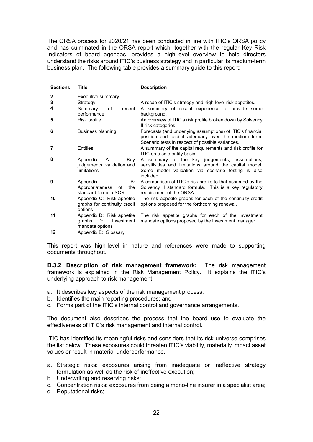The ORSA process for 2020/21 has been conducted in line with ITIC's ORSA policy and has culminated in the ORSA report which, together with the regular Key Risk Indicators of board agendas, provides a high-level overview to help directors understand the risks around ITIC's business strategy and in particular its medium-term business plan. The following table provides a summary guide to this report:

| <b>Sections</b>        | <b>Title</b>                                                                | <b>Description</b>                                                                                                                                                          |
|------------------------|-----------------------------------------------------------------------------|-----------------------------------------------------------------------------------------------------------------------------------------------------------------------------|
| $\mathbf{2}$<br>3<br>4 | Executive summary<br>Strategy<br>Summary<br>of<br>recent                    | A recap of ITIC's strategy and high-level risk appetites.<br>A summary of recent experience to provide some                                                                 |
| 5                      | performance<br>Risk profile                                                 | background.<br>An overview of ITIC's risk profile broken down by Solvency<br>II risk categories.                                                                            |
| 6                      | Business planning                                                           | Forecasts (and underlying assumptions) of ITIC's financial<br>position and capital adequacy over the medium term.<br>Scenario tests in respect of possible variances.       |
| 7                      | <b>Entities</b>                                                             | A summary of the capital requirements and risk profile for<br>ITIC on a solo entity basis.                                                                                  |
| 8                      | Appendix<br>Key<br>A:<br>judgements, validation and<br>limitations          | A summary of the key judgements, assumptions,<br>sensitivities and limitations around the capital model.<br>Some model validation via scenario testing is also<br>included. |
| 9                      | Appendix<br>B:<br>the<br>Appropriateness<br>of<br>standard formula SCR      | A comparison of ITIC's risk profile to that assumed by the<br>Solvency II standard formula. This is a key regulatory<br>requirement of the ORSA.                            |
| 10                     | Appendix C: Risk appetite<br>graphs for continuity credit<br>options        | The risk appetite graphs for each of the continuity credit<br>options proposed for the forthcoming renewal.                                                                 |
| 11                     | Appendix D: Risk appetite<br>for<br>investment<br>graphs<br>mandate options | The risk appetite graphs for each of the investment<br>mandate options proposed by the investment manager.                                                                  |
| 12                     | Appendix E: Glossary                                                        |                                                                                                                                                                             |

This report was high-level in nature and references were made to supporting documents throughout.

B.3.2 Description of risk management framework: The risk management framework is explained in the Risk Management Policy. It explains the ITIC's underlying approach to risk management:

- a. It describes key aspects of the risk management process;
- b. Identifies the main reporting procedures; and
- c. Forms part of the ITIC's internal control and governance arrangements.

The document also describes the process that the board use to evaluate the effectiveness of ITIC's risk management and internal control.

ITIC has identified its meaningful risks and considers that its risk universe comprises the list below. These exposures could threaten ITIC's viability, materially impact asset values or result in material underperformance.

- a. Strategic risks: exposures arising from inadequate or ineffective strategy formulation as well as the risk of ineffective execution;
- b. Underwriting and reserving risks;
- c. Concentration risks: exposures from being a mono-line insurer in a specialist area;
- d. Reputational risks;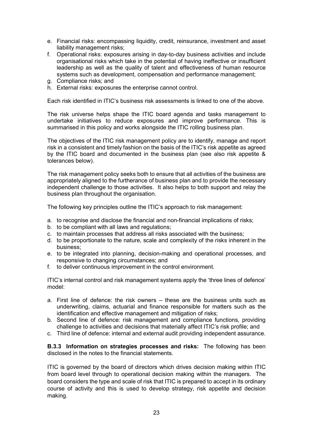- e. Financial risks: encompassing liquidity, credit, reinsurance, investment and asset liability management risks;
- f. Operational risks: exposures arising in day-to-day business activities and include organisational risks which take in the potential of having ineffective or insufficient leadership as well as the quality of talent and effectiveness of human resource systems such as development, compensation and performance management;
- g. Compliance risks; and
- h. External risks: exposures the enterprise cannot control.

Each risk identified in ITIC's business risk assessments is linked to one of the above.

The risk universe helps shape the ITIC board agenda and tasks management to undertake initiatives to reduce exposures and improve performance. This is summarised in this policy and works alongside the ITIC rolling business plan.

The objectives of the ITIC risk management policy are to identify, manage and report risk in a consistent and timely fashion on the basis of the ITIC's risk appetite as agreed by the ITIC board and documented in the business plan (see also risk appetite & tolerances below).

The risk management policy seeks both to ensure that all activities of the business are appropriately aligned to the furtherance of business plan and to provide the necessary independent challenge to those activities. It also helps to both support and relay the business plan throughout the organisation.

The following key principles outline the ITIC's approach to risk management:

- a. to recognise and disclose the financial and non-financial implications of risks;
- b. to be compliant with all laws and regulations;
- c. to maintain processes that address all risks associated with the business;
- d. to be proportionate to the nature, scale and complexity of the risks inherent in the business;
- e. to be integrated into planning, decision-making and operational processes, and responsive to changing circumstances; and
- f. to deliver continuous improvement in the control environment.

ITIC's internal control and risk management systems apply the 'three lines of defence' model:

- a. First line of defence: the risk owners these are the business units such as underwriting, claims, actuarial and finance responsible for matters such as the identification and effective management and mitigation of risks;
- b. Second line of defence: risk management and compliance functions, providing challenge to activities and decisions that materially affect ITIC's risk profile; and
- c. Third line of defence: internal and external audit providing independent assurance.

**B.3.3 Information on strategies processes and risks:** The following has been disclosed in the notes to the financial statements.

ITIC is governed by the board of directors which drives decision making within ITIC from board level through to operational decision making within the managers. The board considers the type and scale of risk that ITIC is prepared to accept in its ordinary course of activity and this is used to develop strategy, risk appetite and decision making.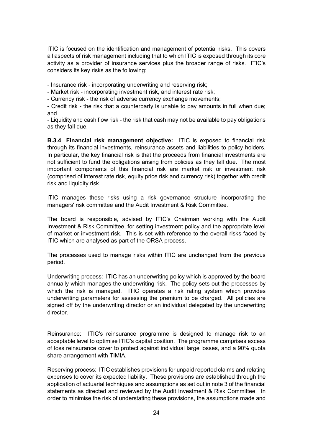ITIC is focused on the identification and management of potential risks. This covers all aspects of risk management including that to which ITIC is exposed through its core activity as a provider of insurance services plus the broader range of risks. ITIC's considers its key risks as the following:

- Insurance risk - incorporating underwriting and reserving risk;

- Market risk - incorporating investment risk, and interest rate risk;

- Currency risk - the risk of adverse currency exchange movements;

- Credit risk - the risk that a counterparty is unable to pay amounts in full when due; and

- Liquidity and cash flow risk - the risk that cash may not be available to pay obligations as they fall due.

B.3.4 Financial risk management objective: ITIC is exposed to financial risk through its financial investments, reinsurance assets and liabilities to policy holders. In particular, the key financial risk is that the proceeds from financial investments are not sufficient to fund the obligations arising from policies as they fall due. The most important components of this financial risk are market risk or investment risk (comprised of interest rate risk, equity price risk and currency risk) together with credit risk and liquidity risk.

ITIC manages these risks using a risk governance structure incorporating the managers' risk committee and the Audit Investment & Risk Committee.

The board is responsible, advised by ITIC's Chairman working with the Audit Investment & Risk Committee, for setting investment policy and the appropriate level of market or investment risk. This is set with reference to the overall risks faced by ITIC which are analysed as part of the ORSA process.

The processes used to manage risks within ITIC are unchanged from the previous period.

Underwriting process: ITIC has an underwriting policy which is approved by the board annually which manages the underwriting risk. The policy sets out the processes by which the risk is managed. ITIC operates a risk rating system which provides underwriting parameters for assessing the premium to be charged. All policies are signed off by the underwriting director or an individual delegated by the underwriting director.

Reinsurance: ITIC's reinsurance programme is designed to manage risk to an acceptable level to optimise ITIC's capital position. The programme comprises excess of loss reinsurance cover to protect against individual large losses, and a 90% quota share arrangement with TIMIA.

Reserving process: ITIC establishes provisions for unpaid reported claims and relating expenses to cover its expected liability. These provisions are established through the application of actuarial techniques and assumptions as set out in note 3 of the financial statements as directed and reviewed by the Audit Investment & Risk Committee. In order to minimise the risk of understating these provisions, the assumptions made and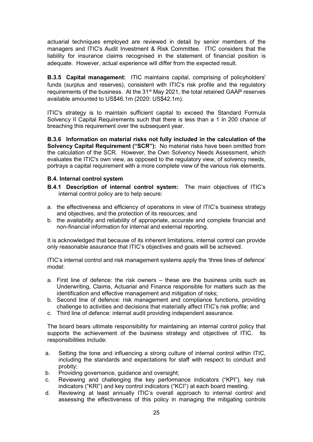actuarial techniques employed are reviewed in detail by senior members of the managers and ITIC's Audit Investment & Risk Committee. ITIC considers that the liability for insurance claims recognised in the statement of financial position is adequate. However, actual experience will differ from the expected result.

B.3.5 Capital management: ITIC maintains capital, comprising of policyholders' funds (surplus and reserves), consistent with ITIC's risk profile and the regulatory requirements of the business. At the 31st May 2021, the total retained GAAP reserves available amounted to US\$46.1m (2020: US\$42.1m).

ITIC's strategy is to maintain sufficient capital to exceed the Standard Formula Solvency II Capital Requirements such that there is less than a 1 in 200 chance of breaching this requirement over the subsequent year.

B.3.6 Information on material risks not fully included in the calculation of the Solvency Capital Requirement ("SCR"): No material risks have been omitted from the calculation of the SCR. However, the Own Solvency Needs Assessment, which evaluates the ITIC's own view, as opposed to the regulatory view, of solvency needs, portrays a capital requirement with a more complete view of the various risk elements.

## B.4. Internal control system

- B.4.1 Description of internal control system: The main objectives of ITIC's internal control policy are to help secure:
- a. the effectiveness and efficiency of operations in view of ITIC's business strategy and objectives, and the protection of its resources; and
- b. the availability and reliability of appropriate, accurate and complete financial and non-financial information for internal and external reporting.

It is acknowledged that because of its inherent limitations, internal control can provide only reasonable assurance that ITIC's objectives and goals will be achieved.

ITIC's internal control and risk management systems apply the 'three lines of defence' model:

- a. First line of defence: the risk owners these are the business units such as Underwriting, Claims, Actuarial and Finance responsible for matters such as the identification and effective management and mitigation of risks;
- b. Second line of defence: risk management and compliance functions, providing challenge to activities and decisions that materially affect ITIC's risk profile; and
- c. Third line of defence: internal audit providing independent assurance.

The board bears ultimate responsibility for maintaining an internal control policy that supports the achievement of the business strategy and objectives of ITIC. Its responsibilities include:

- a. Setting the tone and influencing a strong culture of internal control within ITIC, including the standards and expectations for staff with respect to conduct and probity;
- b. Providing governance, guidance and oversight;
- c. Reviewing and challenging the key performance indicators ("KPI"), key risk indicators ("KRI") and key control indicators ("KCI") at each board meeting.
- d. Reviewing at least annually ITIC's overall approach to internal control and assessing the effectiveness of this policy in managing the mitigating controls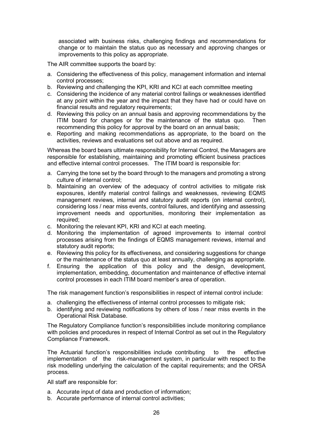associated with business risks, challenging findings and recommendations for change or to maintain the status quo as necessary and approving changes or improvements to this policy as appropriate.

The AIR committee supports the board by:

- a. Considering the effectiveness of this policy, management information and internal control processes;
- b. Reviewing and challenging the KPI, KRI and KCI at each committee meeting
- c. Considering the incidence of any material control failings or weaknesses identified at any point within the year and the impact that they have had or could have on financial results and regulatory requirements;
- d. Reviewing this policy on an annual basis and approving recommendations by the ITIM board for changes or for the maintenance of the status quo. Then recommending this policy for approval by the board on an annual basis;
- e. Reporting and making recommendations as appropriate, to the board on the activities, reviews and evaluations set out above and as required.

Whereas the board bears ultimate responsibility for Internal Control, the Managers are responsible for establishing, maintaining and promoting efficient business practices and effective internal control processes. The ITIM board is responsible for:

- a. Carrying the tone set by the board through to the managers and promoting a strong culture of internal control;
- b. Maintaining an overview of the adequacy of control activities to mitigate risk exposures, identify material control failings and weaknesses, reviewing EQMS management reviews, internal and statutory audit reports (on internal control), considering loss / near miss events, control failures, and identifying and assessing improvement needs and opportunities, monitoring their implementation as required;
- c. Monitoring the relevant KPI, KRI and KCI at each meeting.
- d. Monitoring the implementation of agreed improvements to internal control processes arising from the findings of EQMS management reviews, internal and statutory audit reports;
- e. Reviewing this policy for its effectiveness, and considering suggestions for change or the maintenance of the status quo at least annually, challenging as appropriate.
- f. Ensuring the application of this policy and the design, development, implementation, embedding, documentation and maintenance of effective internal control processes in each ITIM board member's area of operation.

The risk management function's responsibilities in respect of internal control include:

- a. challenging the effectiveness of internal control processes to mitigate risk;
- b. identifying and reviewing notifications by others of loss / near miss events in the Operational Risk Database.

The Regulatory Compliance function's responsibilities include monitoring compliance with policies and procedures in respect of Internal Control as set out in the Regulatory Compliance Framework.

The Actuarial function's responsibilities include contributing to the effective implementation of the risk-management system, in particular with respect to the risk modelling underlying the calculation of the capital requirements; and the ORSA process.

All staff are responsible for:

- a. Accurate input of data and production of information;
- b. Accurate performance of internal control activities;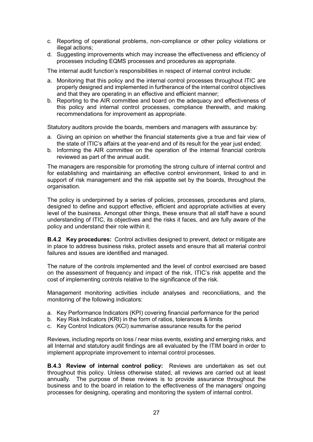- c. Reporting of operational problems, non-compliance or other policy violations or illegal actions:
- d. Suggesting improvements which may increase the effectiveness and efficiency of processes including EQMS processes and procedures as appropriate.

The internal audit function's responsibilities in respect of internal control include:

- a. Monitoring that this policy and the internal control processes throughout ITIC are properly designed and implemented in furtherance of the internal control objectives and that they are operating in an effective and efficient manner;
- b. Reporting to the AIR committee and board on the adequacy and effectiveness of this policy and internal control processes, compliance therewith, and making recommendations for improvement as appropriate.

Statutory auditors provide the boards, members and managers with assurance by:

- a. Giving an opinion on whether the financial statements give a true and fair view of the state of ITIC's affairs at the year-end and of its result for the year just ended;
- b. Informing the AIR committee on the operation of the internal financial controls reviewed as part of the annual audit.

The managers are responsible for promoting the strong culture of internal control and for establishing and maintaining an effective control environment, linked to and in support of risk management and the risk appetite set by the boards, throughout the organisation.

The policy is underpinned by a series of policies, processes, procedures and plans, designed to define and support effective, efficient and appropriate activities at every level of the business. Amongst other things, these ensure that all staff have a sound understanding of ITIC, its objectives and the risks it faces, and are fully aware of the policy and understand their role within it.

B.4.2 Key procedures: Control activities designed to prevent, detect or mitigate are in place to address business risks, protect assets and ensure that all material control failures and issues are identified and managed.

The nature of the controls implemented and the level of control exercised are based on the assessment of frequency and impact of the risk, ITIC's risk appetite and the cost of implementing controls relative to the significance of the risk.

Management monitoring activities include analyses and reconciliations, and the monitoring of the following indicators:

- a. Key Performance Indicators (KPI) covering financial performance for the period
- b. Key Risk Indicators (KRI) in the form of ratios, tolerances & limits
- c. Key Control Indicators (KCI) summarise assurance results for the period

Reviews, including reports on loss / near miss events, existing and emerging risks, and all Internal and statutory audit findings are all evaluated by the ITIM board in order to implement appropriate improvement to internal control processes.

B.4.3 Review of internal control policy: Reviews are undertaken as set out throughout this policy. Unless otherwise stated, all reviews are carried out at least annually. The purpose of these reviews is to provide assurance throughout the business and to the board in relation to the effectiveness of the managers' ongoing processes for designing, operating and monitoring the system of internal control.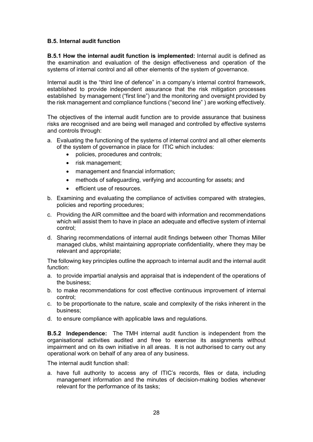## B.5. Internal audit function

B.5.1 How the internal audit function is implemented: Internal audit is defined as the examination and evaluation of the design effectiveness and operation of the systems of internal control and all other elements of the system of governance.

Internal audit is the "third line of defence" in a company's internal control framework, established to provide independent assurance that the risk mitigation processes established by management ("first line") and the monitoring and oversight provided by the risk management and compliance functions ("second line" ) are working effectively.

The objectives of the internal audit function are to provide assurance that business risks are recognised and are being well managed and controlled by effective systems and controls through:

- a. Evaluating the functioning of the systems of internal control and all other elements of the system of governance in place for ITIC which includes:
	- policies, procedures and controls;
	- risk management;
	- management and financial information;
	- methods of safeguarding, verifying and accounting for assets; and
	- efficient use of resources.
- b. Examining and evaluating the compliance of activities compared with strategies, policies and reporting procedures;
- c. Providing the AIR committee and the board with information and recommendations which will assist them to have in place an adequate and effective system of internal control;
- d. Sharing recommendations of internal audit findings between other Thomas Miller managed clubs, whilst maintaining appropriate confidentiality, where they may be relevant and appropriate;

The following key principles outline the approach to internal audit and the internal audit function:

- a. to provide impartial analysis and appraisal that is independent of the operations of the business;
- b. to make recommendations for cost effective continuous improvement of internal control;
- c. to be proportionate to the nature, scale and complexity of the risks inherent in the business;
- d. to ensure compliance with applicable laws and regulations.

**B.5.2 Independence:** The TMH internal audit function is independent from the organisational activities audited and free to exercise its assignments without impairment and on its own initiative in all areas. It is not authorised to carry out any operational work on behalf of any area of any business.

The internal audit function shall:

a. have full authority to access any of ITIC's records, files or data, including management information and the minutes of decision-making bodies whenever relevant for the performance of its tasks;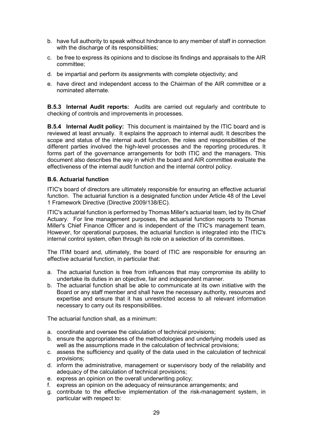- b. have full authority to speak without hindrance to any member of staff in connection with the discharge of its responsibilities;
- c. be free to express its opinions and to disclose its findings and appraisals to the AIR committee;
- d. be impartial and perform its assignments with complete objectivity; and
- e. have direct and independent access to the Chairman of the AIR committee or a nominated alternate.

**B.5.3 Internal Audit reports:** Audits are carried out regularly and contribute to checking of controls and improvements in processes.

**B.5.4 Internal Audit policy:** This document is maintained by the ITIC board and is reviewed at least annually. It explains the approach to internal audit. It describes the scope and status of the internal audit function, the roles and responsibilities of the different parties involved the high-level processes and the reporting procedures. It forms part of the governance arrangements for both ITIC and the managers. This document also describes the way in which the board and AIR committee evaluate the effectiveness of the internal audit function and the internal control policy.

## B.6. Actuarial function

ITIC's board of directors are ultimately responsible for ensuring an effective actuarial function. The actuarial function is a designated function under Article 48 of the Level 1 Framework Directive (Directive 2009/138/EC).

ITIC's actuarial function is performed by Thomas Miller's actuarial team, led by its Chief Actuary. For line management purposes, the actuarial function reports to Thomas Miller's Chief Finance Officer and is independent of the ITIC's management team. However, for operational purposes, the actuarial function is integrated into the ITIC's internal control system, often through its role on a selection of its committees.

The ITIM board and, ultimately, the board of ITIC are responsible for ensuring an effective actuarial function, in particular that:

- a. The actuarial function is free from influences that may compromise its ability to undertake its duties in an objective, fair and independent manner.
- b. The actuarial function shall be able to communicate at its own initiative with the Board or any staff member and shall have the necessary authority, resources and expertise and ensure that it has unrestricted access to all relevant information necessary to carry out its responsibilities.

The actuarial function shall, as a minimum:

- a. coordinate and oversee the calculation of technical provisions;
- b. ensure the appropriateness of the methodologies and underlying models used as well as the assumptions made in the calculation of technical provisions;
- c. assess the sufficiency and quality of the data used in the calculation of technical provisions;
- d. inform the administrative, management or supervisory body of the reliability and adequacy of the calculation of technical provisions;
- e. express an opinion on the overall underwriting policy;
- f. express an opinion on the adequacy of reinsurance arrangements; and
- g. contribute to the effective implementation of the risk-management system, in particular with respect to: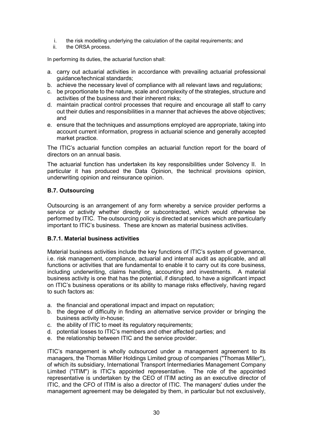- i. the risk modelling underlying the calculation of the capital requirements; and
- ii. the ORSA process.

In performing its duties, the actuarial function shall:

- a. carry out actuarial activities in accordance with prevailing actuarial professional guidance/technical standards;
- b. achieve the necessary level of compliance with all relevant laws and regulations;
- c. be proportionate to the nature, scale and complexity of the strategies, structure and activities of the business and their inherent risks;
- d. maintain practical control processes that require and encourage all staff to carry out their duties and responsibilities in a manner that achieves the above objectives; and
- e. ensure that the techniques and assumptions employed are appropriate, taking into account current information, progress in actuarial science and generally accepted market practice.

The ITIC's actuarial function compiles an actuarial function report for the board of directors on an annual basis.

The actuarial function has undertaken its key responsibilities under Solvency II. In particular it has produced the Data Opinion, the technical provisions opinion, underwriting opinion and reinsurance opinion.

## B.7. Outsourcing

Outsourcing is an arrangement of any form whereby a service provider performs a service or activity whether directly or subcontracted, which would otherwise be performed by ITIC. The outsourcing policy is directed at services which are particularly important to ITIC's business. These are known as material business activities.

## B.7.1. Material business activities

Material business activities include the key functions of ITIC's system of governance, i.e. risk management, compliance, actuarial and internal audit as applicable, and all functions or activities that are fundamental to enable it to carry out its core business, including underwriting, claims handling, accounting and investments. A material business activity is one that has the potential, if disrupted, to have a significant impact on ITIC's business operations or its ability to manage risks effectively, having regard to such factors as:

- a. the financial and operational impact and impact on reputation;
- b. the degree of difficulty in finding an alternative service provider or bringing the business activity in-house;
- c. the ability of ITIC to meet its regulatory requirements;
- d. potential losses to ITIC's members and other affected parties; and
- e. the relationship between ITIC and the service provider.

ITIC's management is wholly outsourced under a management agreement to its managers, the Thomas Miller Holdings Limited group of companies ("Thomas Miller"), of which its subsidiary, International Transport Intermediaries Management Company Limited ("ITIM") is ITIC's appointed representative. The role of the appointed representative is undertaken by the CEO of ITIM acting as an executive director of ITIC, and the CFO of ITIM is also a director of ITIC. The managers' duties under the management agreement may be delegated by them, in particular but not exclusively,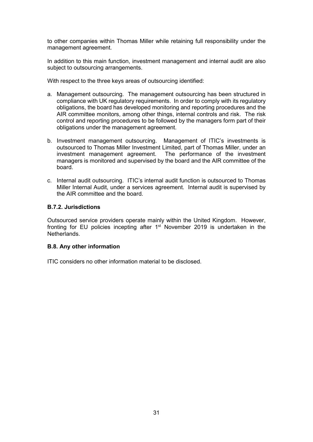to other companies within Thomas Miller while retaining full responsibility under the management agreement.

In addition to this main function, investment management and internal audit are also subject to outsourcing arrangements.

With respect to the three keys areas of outsourcing identified:

- a. Management outsourcing. The management outsourcing has been structured in compliance with UK regulatory requirements. In order to comply with its regulatory obligations, the board has developed monitoring and reporting procedures and the AIR committee monitors, among other things, internal controls and risk. The risk control and reporting procedures to be followed by the managers form part of their obligations under the management agreement.
- b. Investment management outsourcing. Management of ITIC's investments is outsourced to Thomas Miller Investment Limited, part of Thomas Miller, under an investment management agreement. The performance of the investment managers is monitored and supervised by the board and the AIR committee of the board.
- c. Internal audit outsourcing. ITIC's internal audit function is outsourced to Thomas Miller Internal Audit, under a services agreement. Internal audit is supervised by the AIR committee and the board.

## B.7.2. Jurisdictions

Outsourced service providers operate mainly within the United Kingdom. However, fronting for EU policies incepting after  $1<sup>st</sup>$  November 2019 is undertaken in the **Netherlands** 

## B.8. Any other information

ITIC considers no other information material to be disclosed.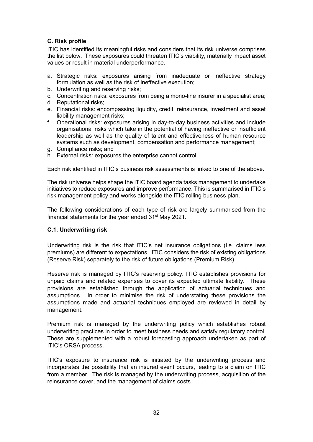# C. Risk profile

ITIC has identified its meaningful risks and considers that its risk universe comprises the list below. These exposures could threaten ITIC's viability, materially impact asset values or result in material underperformance.

- a. Strategic risks: exposures arising from inadequate or ineffective strategy formulation as well as the risk of ineffective execution;
- b. Underwriting and reserving risks;
- c. Concentration risks: exposures from being a mono-line insurer in a specialist area;
- d. Reputational risks;
- e. Financial risks: encompassing liquidity, credit, reinsurance, investment and asset liability management risks;
- f. Operational risks: exposures arising in day-to-day business activities and include organisational risks which take in the potential of having ineffective or insufficient leadership as well as the quality of talent and effectiveness of human resource systems such as development, compensation and performance management;
- g. Compliance risks; and
- h. External risks: exposures the enterprise cannot control.

Each risk identified in ITIC's business risk assessments is linked to one of the above.

The risk universe helps shape the ITIC board agenda tasks management to undertake initiatives to reduce exposures and improve performance. This is summarised in ITIC's risk management policy and works alongside the ITIC rolling business plan.

The following considerations of each type of risk are largely summarised from the financial statements for the year ended  $31<sup>st</sup>$  May 2021.

## C.1. Underwriting risk

Underwriting risk is the risk that ITIC's net insurance obligations (i.e. claims less premiums) are different to expectations. ITIC considers the risk of existing obligations (Reserve Risk) separately to the risk of future obligations (Premium Risk).

Reserve risk is managed by ITIC's reserving policy. ITIC establishes provisions for unpaid claims and related expenses to cover its expected ultimate liability. These provisions are established through the application of actuarial techniques and assumptions. In order to minimise the risk of understating these provisions the assumptions made and actuarial techniques employed are reviewed in detail by management.

Premium risk is managed by the underwriting policy which establishes robust underwriting practices in order to meet business needs and satisfy regulatory control. These are supplemented with a robust forecasting approach undertaken as part of ITIC's ORSA process.

ITIC's exposure to insurance risk is initiated by the underwriting process and incorporates the possibility that an insured event occurs, leading to a claim on ITIC from a member. The risk is managed by the underwriting process, acquisition of the reinsurance cover, and the management of claims costs.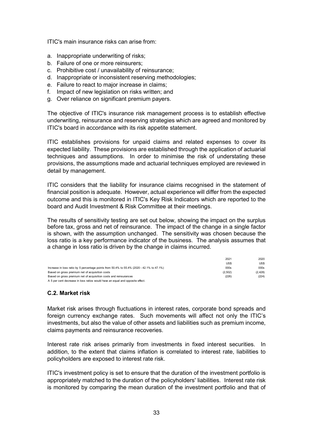ITIC's main insurance risks can arise from:

- a. Inappropriate underwriting of risks;
- b. Failure of one or more reinsurers;
- c. Prohibitive cost / unavailability of reinsurance;
- d. Inappropriate or inconsistent reserving methodologies;
- e. Failure to react to major increase in claims;
- f. Impact of new legislation on risks written; and
- g. Over reliance on significant premium payers.

The objective of ITIC's insurance risk management process is to establish effective underwriting, reinsurance and reserving strategies which are agreed and monitored by ITIC's board in accordance with its risk appetite statement.

ITIC establishes provisions for unpaid claims and related expenses to cover its expected liability. These provisions are established through the application of actuarial techniques and assumptions. In order to minimise the risk of understating these provisions, the assumptions made and actuarial techniques employed are reviewed in detail by management. ria monitored by<br>
es to cover its<br>
ation of actuarial<br>
derstating these<br>
are reviewed in<br>
the statement of<br>
ported to the<br>
to the surplus<br>
n a single factor<br>
en because the<br>
is assumes that<br>
is assumes that<br>  $222$ <br>  $222$ <br> ITIC establishes provisions for una expresse in drelated expenses to cover its<br>expected liability. These provisions are established through the application of actuarial<br>techniques and assumptions made and actuarial techni ITIC establishes provisions for unpaid claims and related expenses to cover its<br>expected liability. These provisions are established through the application of actuarial<br>environiques and assumptions. In order to minimise ITIC establishes provisions for unpaid claims and related expenses to cover its<br>expected liability. These provisions are established through the application of actuarial<br>dechining established in costs and sumptions made a

ITIC considers that the liability for insurance claims recognised in the statement of financial position is adequate. However, actual experience will differ from the expected outcome and this is monitored in ITIC's Key Risk Indicators which are reported to the board and Audit Investment & Risk Committee at their meetings.

The results of sensitivity testing are set out below, showing the impact on the surplus before tax, gross and net of reinsurance. The impact of the change in a single factor is shown, with the assumption unchanged. The sensitivity was chosen because the loss ratio is a key performance indicator of the business. The analysis assumes that a change in loss ratio is driven by the change in claims incurred.

|                                                                                           | 2021    | 2020     |
|-------------------------------------------------------------------------------------------|---------|----------|
|                                                                                           | US\$    | US\$     |
| Increase in loss ratio by 5 percentage points from 50.4% to 55.4% (2020 - 42.1% to 47.1%) | 000s    | 000s     |
| Based on gross premium net of acquisition costs                                           | (2.502) | (2, 428) |
| Based on gross premium net of acquisition costs and reinsurances                          | (226)   | (224)    |
| A 5 per cent decrease in loss ratios would have an equal and opposite effect.             |         |          |

## C.2. Market risk

Market risk arises through fluctuations in interest rates, corporate bond spreads and foreign currency exchange rates. Such movements will affect not only the ITIC's investments, but also the value of other assets and liabilities such as premium income, claims payments and reinsurance recoveries.

Interest rate risk arises primarily from investments in fixed interest securities. In addition, to the extent that claims inflation is correlated to interest rate, liabilities to policyholders are exposed to interest rate risk.

ITIC's investment policy is set to ensure that the duration of the investment portfolio is appropriately matched to the duration of the policyholders' liabilities. Interest rate risk is monitored by comparing the mean duration of the investment portfolio and that of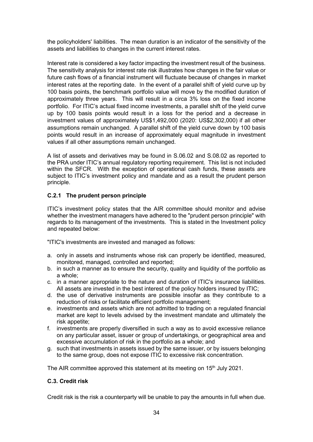the policyholders' liabilities. The mean duration is an indicator of the sensitivity of the assets and liabilities to changes in the current interest rates.

Interest rate is considered a key factor impacting the investment result of the business. The sensitivity analysis for interest rate risk illustrates how changes in the fair value or future cash flows of a financial instrument will fluctuate because of changes in market interest rates at the reporting date. In the event of a parallel shift of yield curve up by 100 basis points, the benchmark portfolio value will move by the modified duration of approximately three years. This will result in a circa 3% loss on the fixed income portfolio. For ITIC's actual fixed income investments, a parallel shift of the yield curve up by 100 basis points would result in a loss for the period and a decrease in investment values of approximately US\$1,492,000 (2020: US\$2,302,000) if all other assumptions remain unchanged. A parallel shift of the yield curve down by 100 basis points would result in an increase of approximately equal magnitude in investment values if all other assumptions remain unchanged.

A list of assets and derivatives may be found in S.06.02 and S.08.02 as reported to the PRA under ITIC's annual regulatory reporting requirement. This list is not included within the SFCR. With the exception of operational cash funds, these assets are subject to ITIC's investment policy and mandate and as a result the prudent person principle.

## C.2.1 The prudent person principle

ITIC's investment policy states that the AIR committee should monitor and advise whether the investment managers have adhered to the "prudent person principle" with regards to its management of the investments. This is stated in the Investment policy and repeated below:

"ITIC's investments are invested and managed as follows:

- a. only in assets and instruments whose risk can properly be identified, measured, monitored, managed, controlled and reported;
- b. in such a manner as to ensure the security, quality and liquidity of the portfolio as a whole;
- c. in a manner appropriate to the nature and duration of ITIC's insurance liabilities. All assets are invested in the best interest of the policy holders insured by ITIC;
- d. the use of derivative instruments are possible insofar as they contribute to a reduction of risks or facilitate efficient portfolio management;
- e. investments and assets which are not admitted to trading on a regulated financial market are kept to levels advised by the investment mandate and ultimately the risk appetite;
- f. investments are properly diversified in such a way as to avoid excessive reliance on any particular asset, issuer or group of undertakings, or geographical area and excessive accumulation of risk in the portfolio as a whole; and
- g. such that investments in assets issued by the same issuer, or by issuers belonging to the same group, does not expose ITIC to excessive risk concentration.

The AIR committee approved this statement at its meeting on 15<sup>th</sup> July 2021.

## C.3. Credit risk

Credit risk is the risk a counterparty will be unable to pay the amounts in full when due.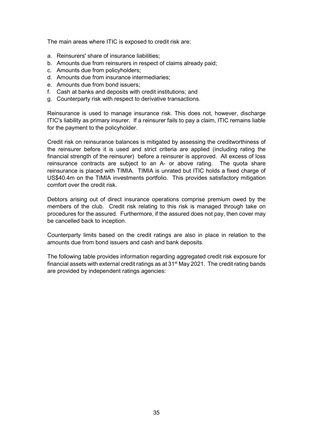The main areas where ITIC is exposed to credit risk are:

- a. Reinsurers' share of insurance liabilities;
- b. Amounts due from reinsurers in respect of claims already paid;
- c. Amounts due from policyholders;
- d. Amounts due from insurance intermediaries;
- e. Amounts due from bond issuers;
- f. Cash at banks and deposits with credit institutions; and
- g. Counterparty risk with respect to derivative transactions.

Reinsurance is used to manage insurance risk. This does not, however, discharge ITIC's liability as primary insurer. If a reinsurer fails to pay a claim, ITIC remains liable for the payment to the policyholder.

Credit risk on reinsurance balances is mitigated by assessing the creditworthiness of the reinsurer before it is used and strict criteria are applied (including rating the financial strength of the reinsurer) before a reinsurer is approved. All excess of loss reinsurance contracts are subject to an A- or above rating. The quota share reinsurance is placed with TIMIA. TIMIA is unrated but ITIC holds a fixed charge of US\$40.4m on the TIMIA investments portfolio. This provides satisfactory mitigation comfort over the credit risk.

Debtors arising out of direct insurance operations comprise premium owed by the members of the club. Credit risk relating to this risk is managed through take on procedures for the assured. Furthermore, if the assured does not pay, then cover may be cancelled back to inception.

Counterparty limits based on the credit ratings are also in place in relation to the amounts due from bond issuers and cash and bank deposits.

The following table provides information regarding aggregated credit risk exposure for financial assets with external credit ratings as at  $31<sup>st</sup>$  May 2021. The credit rating bands are provided by independent ratings agencies: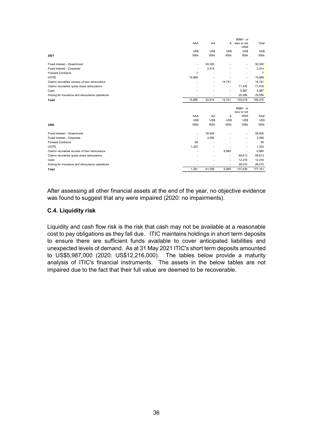|                                                              | AAA                                | AA                                                   |                                                      | BBB+ or<br>A less or not                             | Total             |
|--------------------------------------------------------------|------------------------------------|------------------------------------------------------|------------------------------------------------------|------------------------------------------------------|-------------------|
|                                                              | US\$                               | US\$                                                 | US\$                                                 | rated<br>US\$                                        | US\$              |
| 2021                                                         | 000s                               | 000s                                                 | 000s                                                 | 000s                                                 | 000s              |
| Fixed interest - Government                                  | $\overline{\phantom{a}}$           | 50,300                                               | $\overline{\phantom{a}}$                             | $\overline{\phantom{a}}$                             | 50,300            |
| Fixed interest - Corporate                                   | $\overline{\phantom{a}}$           | 2,514                                                | $\overline{\phantom{a}}$                             | $\overline{\phantom{a}}$                             | 2,514             |
| <b>Forward Contracts</b>                                     | $\overline{7}$                     | $\overline{\phantom{a}}$                             | $\overline{\phantom{a}}$                             | $\overline{\phantom{a}}$                             | $\overline{7}$    |
| <b>UCITS</b><br>Claims recoveries excess of loss reinsurance | 15,889                             | $\overline{\phantom{a}}$<br>$\overline{\phantom{a}}$ | $\overline{\phantom{a}}$<br>14,741                   | $\overline{\phantom{a}}$<br>$\overline{\phantom{a}}$ | 15,889<br>14,741  |
| Claims recoveries quota share reinsurance                    | $\overline{\phantom{a}}$           | $\overline{\phantom{a}}$                             | $\overline{\phantom{a}}$                             | 71,476                                               | 71,476            |
| Cash                                                         | $\overline{\phantom{a}}$           | $\overline{\phantom{a}}$                             | $\overline{\phantom{a}}$                             | 5,987                                                | 5,987             |
| Arising for insurance and reinsurance operations             | $\overline{\phantom{a}}$<br>15,896 | $\overline{\phantom{a}}$<br>52,814                   | $\overline{\phantom{a}}$<br>14,741                   | 25,556<br>103,019                                    | 25,556<br>186,470 |
| Total                                                        |                                    |                                                      |                                                      |                                                      |                   |
|                                                              |                                    |                                                      |                                                      | BBB+ or<br>less or not                               |                   |
|                                                              | AAA                                | AA                                                   | $\mathsf{A}$                                         | rated                                                | Total             |
| 2020                                                         | US\$<br>000s                       | US\$<br>000s                                         | US\$<br>000s                                         | US\$<br>000s                                         | US\$<br>000s      |
|                                                              |                                    |                                                      |                                                      |                                                      |                   |
| Fixed interest - Government                                  | $\overline{\phantom{a}}$           | 58,500                                               | $\overline{\phantom{a}}$                             | $\overline{\phantom{a}}$                             | 58,500            |
| Fixed interest - Corporate<br><b>Forward Contracts</b>       | $\overline{\phantom{a}}$<br>59     | 2,556                                                | $\overline{\phantom{a}}$<br>$\sim$                   | $\overline{\phantom{a}}$<br>$\overline{\phantom{a}}$ | 2,556<br>59       |
| <b>UCITS</b>                                                 | 1,322                              | $\sim$                                               | $\sim$                                               | $\overline{\phantom{a}}$                             | 1,322             |
| Claims recoveries excess of loss reinsurance                 |                                    |                                                      | 6,885                                                | $\overline{\phantom{a}}$                             | 6,885             |
| Claims recoveries quota share reinsurance<br>Cash            | <b>.</b>                           | $\overline{\phantom{a}}$                             | $\overline{\phantom{a}}$<br>$\overline{\phantom{a}}$ | 69,613<br>12,216                                     | 69,613<br>12,216  |
| Arising for insurance and reinsurance operations             | $\overline{\phantom{a}}$           | $\overline{\phantom{a}}$                             |                                                      | 26,010                                               | 26,010            |
| Total                                                        | 1,381                              | 61,056                                               | 6,885                                                | 107,839                                              | 177,161           |
|                                                              |                                    |                                                      |                                                      |                                                      |                   |
|                                                              |                                    |                                                      |                                                      |                                                      |                   |
|                                                              |                                    |                                                      |                                                      |                                                      |                   |

After assessing all other financial assets at the end of the year, no objective evidence was found to suggest that any were impaired (2020: no impairments).

## C.4. Liquidity risk

Liquidity and cash flow risk is the risk that cash may not be available at a reasonable cost to pay obligations as they fall due. ITIC maintains holdings in short term deposits to ensure there are sufficient funds available to cover anticipated liabilities and unexpected levels of demand. As at 31 May 2021 ITIC's short term deposits amounted to US\$5,987,000 (2020: US\$12,216,000). The tables below provide a maturity analysis of ITIC's financial instruments. The assets in the below tables are not impaired due to the fact that their full value are deemed to be recoverable.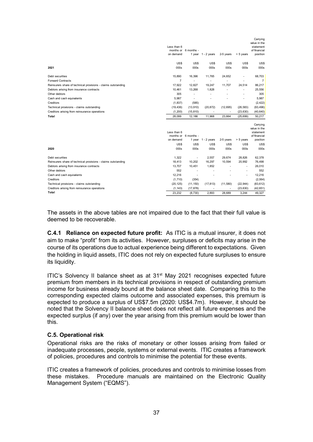|                                                                                          |                                                                                                                        |                                                                                           |                                                                                               |                                                                                                             | Carrying                                                                                                                                                                  |
|------------------------------------------------------------------------------------------|------------------------------------------------------------------------------------------------------------------------|-------------------------------------------------------------------------------------------|-----------------------------------------------------------------------------------------------|-------------------------------------------------------------------------------------------------------------|---------------------------------------------------------------------------------------------------------------------------------------------------------------------------|
| Less than 6                                                                              |                                                                                                                        |                                                                                           |                                                                                               |                                                                                                             | value in the<br>statement                                                                                                                                                 |
|                                                                                          |                                                                                                                        |                                                                                           |                                                                                               |                                                                                                             | of financial<br>position                                                                                                                                                  |
|                                                                                          |                                                                                                                        |                                                                                           |                                                                                               |                                                                                                             |                                                                                                                                                                           |
| US\$                                                                                     | US\$                                                                                                                   | US\$                                                                                      | US\$                                                                                          |                                                                                                             | US\$<br>000s                                                                                                                                                              |
|                                                                                          |                                                                                                                        |                                                                                           |                                                                                               |                                                                                                             |                                                                                                                                                                           |
| 15,890                                                                                   | 16,396                                                                                                                 | 11,765                                                                                    | 24,652                                                                                        | $\sim$                                                                                                      | 68,703<br>-7                                                                                                                                                              |
|                                                                                          | 12,827                                                                                                                 |                                                                                           |                                                                                               |                                                                                                             | 86,217                                                                                                                                                                    |
| 10,461                                                                                   | 13,268                                                                                                                 | 1,828                                                                                     |                                                                                               | $\sim$                                                                                                      | 25,556                                                                                                                                                                    |
|                                                                                          | $\sim$                                                                                                                 | $\overline{\phantom{a}}$                                                                  | $\overline{\phantom{a}}$                                                                      | $\overline{\phantom{a}}$                                                                                    | 305<br>5,987                                                                                                                                                              |
| (1, 837)                                                                                 | (585)                                                                                                                  |                                                                                           |                                                                                               |                                                                                                             | (2, 422)                                                                                                                                                                  |
| (19, 436)                                                                                | (13, 910)                                                                                                              | (20, 872)                                                                                 | (12, 695)                                                                                     |                                                                                                             | (93, 496)                                                                                                                                                                 |
|                                                                                          |                                                                                                                        | $\overline{\phantom{a}}$                                                                  | ٠.                                                                                            |                                                                                                             | (40, 640)<br>50,217                                                                                                                                                       |
|                                                                                          |                                                                                                                        |                                                                                           |                                                                                               |                                                                                                             |                                                                                                                                                                           |
|                                                                                          |                                                                                                                        |                                                                                           |                                                                                               |                                                                                                             | Carrying<br>value in the                                                                                                                                                  |
| Less than 6                                                                              |                                                                                                                        |                                                                                           |                                                                                               |                                                                                                             | statement                                                                                                                                                                 |
| on demand                                                                                | 6 months -                                                                                                             |                                                                                           | 2-5 years                                                                                     |                                                                                                             | of financial<br>position                                                                                                                                                  |
| US\$                                                                                     | US\$                                                                                                                   | US\$                                                                                      | US\$                                                                                          |                                                                                                             | US\$                                                                                                                                                                      |
| 000s                                                                                     | 000s                                                                                                                   | 000s                                                                                      | 000s                                                                                          |                                                                                                             | 000s                                                                                                                                                                      |
| 1,322                                                                                    | $\overline{\phantom{a}}$                                                                                               | 2,557                                                                                     | 29,674                                                                                        | 28,826                                                                                                      | 62,378                                                                                                                                                                    |
| 18,413                                                                                   | 10,202                                                                                                                 | 16,297                                                                                    | 10,594                                                                                        | 20,992                                                                                                      | 76,498                                                                                                                                                                    |
| 552                                                                                      | $\sim$                                                                                                                 | $\overline{a}$                                                                            | $\overline{\phantom{a}}$                                                                      | $\overline{\phantom{a}}$                                                                                    | 26,010<br>552                                                                                                                                                             |
| 12,216                                                                                   | $\sim$                                                                                                                 | $\overline{\phantom{a}}$                                                                  | $\blacksquare$                                                                                | $\overline{\phantom{a}}$                                                                                    | 12,216                                                                                                                                                                    |
| (1,710)                                                                                  | (354)<br>(11, 150)                                                                                                     | (17, 813)                                                                                 | (11,580)                                                                                      | (22, 944)                                                                                                   | (2,064)<br>(83, 612)                                                                                                                                                      |
|                                                                                          | (17, 878)                                                                                                              | $\sim$                                                                                    | $\overline{\phantom{a}}$                                                                      | (23, 630)                                                                                                   | (42, 651)                                                                                                                                                                 |
| (20, 125)<br>(1, 143)                                                                    |                                                                                                                        | 2,893                                                                                     | 28,689                                                                                        | 3,244                                                                                                       | 49,327                                                                                                                                                                    |
| 23,232                                                                                   | (8,730)                                                                                                                |                                                                                           |                                                                                               |                                                                                                             |                                                                                                                                                                           |
|                                                                                          |                                                                                                                        |                                                                                           |                                                                                               |                                                                                                             |                                                                                                                                                                           |
|                                                                                          |                                                                                                                        |                                                                                           |                                                                                               |                                                                                                             |                                                                                                                                                                           |
|                                                                                          |                                                                                                                        |                                                                                           |                                                                                               |                                                                                                             |                                                                                                                                                                           |
| The assets in the above tables are not impaired due to the fact that their full value is |                                                                                                                        |                                                                                           |                                                                                               |                                                                                                             |                                                                                                                                                                           |
|                                                                                          | months or<br>on demand<br>000s<br>$\overline{7}$<br>17,922<br>305<br>5,987<br>(1,200)<br>28,099<br>months or<br>13,707 | 6 months -<br>000s<br>$\sim$<br>$\overline{\phantom{a}}$<br>(15, 810)<br>12,186<br>10,451 | 1 year 1 - 2 years<br>000s<br>$\sim$<br>19,247<br>$\overline{\phantom{a}}$<br>11,968<br>1,852 | 2-5 years<br>000s<br>$\sim$<br>11,707<br>$\overline{\phantom{a}}$<br>23,664<br>1 year 1 - 2 years<br>$\sim$ | > 5 years<br>US\$<br>000s<br>$\overline{\phantom{a}}$<br>24,514<br>$\sim$<br>(26, 583)<br>(23, 630)<br>(25, 699)<br>> 5 years<br>US\$<br>000s<br>$\overline{\phantom{a}}$ |

C.4.1 Reliance on expected future profit: As ITIC is a mutual insurer, it does not aim to make "profit" from its activities. However, surpluses or deficits may arise in the course of its operations due to actual experience being different to expectations. Given the holding in liquid assets, ITIC does not rely on expected future surpluses to ensure its liquidity.

ITIC's Solvency II balance sheet as at 31<sup>st</sup> May 2021 recognises expected future premium from members in its technical provisions in respect of outstanding premium income for business already bound at the balance sheet date. Comparing this to the corresponding expected claims outcome and associated expenses, this premium is expected to produce a surplus of US\$7.5m (2020: US\$4.7m). However, it should be noted that the Solvency II balance sheet does not reflect all future expenses and the expected surplus (if any) over the year arising from this premium would be lower than this.

## C.5. Operational risk

Operational risks are the risks of monetary or other losses arising from failed or inadequate processes, people, systems or external events. ITIC creates a framework of policies, procedures and controls to minimise the potential for these events.

ITIC creates a framework of policies, procedures and controls to minimise losses from these mistakes. Procedure manuals are maintained on the Electronic Quality Management System ("EQMS").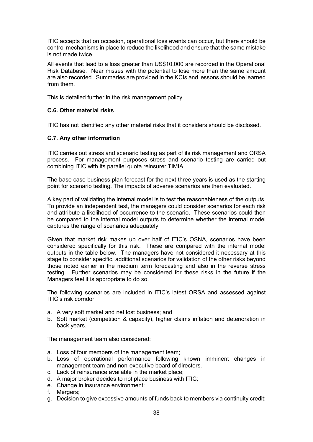ITIC accepts that on occasion, operational loss events can occur, but there should be control mechanisms in place to reduce the likelihood and ensure that the same mistake is not made twice.

All events that lead to a loss greater than US\$10,000 are recorded in the Operational Risk Database. Near misses with the potential to lose more than the same amount are also recorded. Summaries are provided in the KCIs and lessons should be learned from them.

This is detailed further in the risk management policy.

## C.6. Other material risks

ITIC has not identified any other material risks that it considers should be disclosed.

## C.7. Any other information

ITIC carries out stress and scenario testing as part of its risk management and ORSA process. For management purposes stress and scenario testing are carried out combining ITIC with its parallel quota reinsurer TIMIA.

The base case business plan forecast for the next three years is used as the starting point for scenario testing. The impacts of adverse scenarios are then evaluated.

A key part of validating the internal model is to test the reasonableness of the outputs. To provide an independent test, the managers could consider scenarios for each risk and attribute a likelihood of occurrence to the scenario. These scenarios could then be compared to the internal model outputs to determine whether the internal model captures the range of scenarios adequately.

Given that market risk makes up over half of ITIC's OSNA, scenarios have been considered specifically for this risk. These are compared with the internal model outputs in the table below. The managers have not considered it necessary at this stage to consider specific, additional scenarios for validation of the other risks beyond those noted earlier in the medium term forecasting and also in the reverse stress testing. Further scenarios may be considered for these risks in the future if the Managers feel it is appropriate to do so.

The following scenarios are included in ITIC's latest ORSA and assessed against ITIC's risk corridor:

- a. A very soft market and net lost business; and
- b. Soft market (competition & capacity), higher claims inflation and deterioration in back years.

The management team also considered:

- a. Loss of four members of the management team;
- b. Loss of operational performance following known imminent changes in management team and non-executive board of directors.
- c. Lack of reinsurance available in the market place;
- d. A major broker decides to not place business with ITIC;
- e. Change in insurance environment;
- f. Mergers;
- g. Decision to give excessive amounts of funds back to members via continuity credit;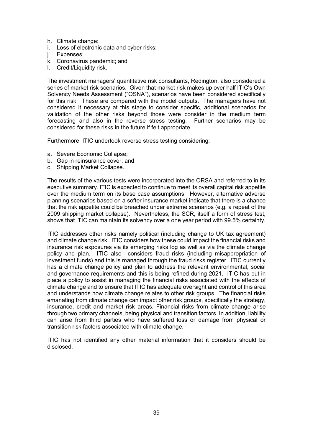- h. Climate change:
- i. Loss of electronic data and cyber risks:
- j. Expenses;
- k. Coronavirus pandemic; and
- l. Credit/Liquidity risk.

The investment managers' quantitative risk consultants, Redington, also considered a series of market risk scenarios. Given that market risk makes up over half ITIC's Own Solvency Needs Assessment ("OSNA"), scenarios have been considered specifically for this risk. These are compared with the model outputs. The managers have not considered it necessary at this stage to consider specific, additional scenarios for validation of the other risks beyond those were consider in the medium term forecasting and also in the reverse stress testing. Further scenarios may be considered for these risks in the future if felt appropriate.

Furthermore, ITIC undertook reverse stress testing considering:

- a. Severe Economic Collapse;
- b. Gap in reinsurance cover; and
- c. Shipping Market Collapse.

The results of the various tests were incorporated into the ORSA and referred to in its executive summary. ITIC is expected to continue to meet its overall capital risk appetite over the medium term on its base case assumptions. However, alternative adverse planning scenarios based on a softer insurance market indicate that there is a chance that the risk appetite could be breached under extreme scenarios (e.g. a repeat of the 2009 shipping market collapse). Nevertheless, the SCR, itself a form of stress test, shows that ITIC can maintain its solvency over a one year period with 99.5% certainty.

ITIC addresses other risks namely political (including change to UK tax agreement) and climate change risk. ITIC considers how these could impact the financial risks and insurance risk exposures via its emerging risks log as well as via the climate change policy and plan. ITIC also considers fraud risks (including misappropriation of investment funds) and this is managed through the fraud risks register. ITIC currently has a climate change policy and plan to address the relevant environmental, social and governance requirements and this is being refined during 2021. ITIC has put in place a policy to assist in managing the financial risks associated with the effects of climate change and to ensure that ITIC has adequate oversight and control of this area and understands how climate change relates to other risk groups. The financial risks emanating from climate change can impact other risk groups, specifically the strategy, insurance, credit and market risk areas. Financial risks from climate change arise through two primary channels, being physical and transition factors. In addition, liability can arise from third parties who have suffered loss or damage from physical or transition risk factors associated with climate change.

ITIC has not identified any other material information that it considers should be disclosed.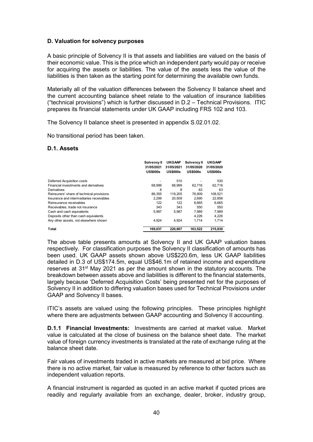## D. Valuation for solvency purposes

## D.1. Assets

|                                                                                                                                                                                                                                                                                                                                                                             | D. Valuation for solvency purposes                  |                               |                                                         |                                                |  |
|-----------------------------------------------------------------------------------------------------------------------------------------------------------------------------------------------------------------------------------------------------------------------------------------------------------------------------------------------------------------------------|-----------------------------------------------------|-------------------------------|---------------------------------------------------------|------------------------------------------------|--|
| A basic principle of Solvency II is that assets and liabilities are valued on the basis of<br>their economic value. This is the price which an independent party would pay or receive<br>for acquiring the assets or liabilities. The value of the assets less the value of the<br>liabilities is then taken as the starting point for determining the available own funds. |                                                     |                               |                                                         |                                                |  |
| Materially all of the valuation differences between the Solvency II balance sheet and<br>the current accounting balance sheet relate to the valuation of insurance liabilities<br>("technical provisions") which is further discussed in D.2 – Technical Provisions. ITIC<br>prepares its financial statements under UK GAAP including FRS 102 and 103.                     |                                                     |                               |                                                         |                                                |  |
| The Solvency II balance sheet is presented in appendix S.02.01.02.                                                                                                                                                                                                                                                                                                          |                                                     |                               |                                                         |                                                |  |
| No transitional period has been taken.                                                                                                                                                                                                                                                                                                                                      |                                                     |                               |                                                         |                                                |  |
| D.1. Assets                                                                                                                                                                                                                                                                                                                                                                 |                                                     |                               |                                                         |                                                |  |
|                                                                                                                                                                                                                                                                                                                                                                             |                                                     |                               |                                                         |                                                |  |
|                                                                                                                                                                                                                                                                                                                                                                             | Solvency II UKGAAP<br>31/05/2021<br><b>US\$000s</b> | <b>US\$000s</b>               | Solvency II<br>31/05/2021 31/05/2020<br><b>US\$000s</b> | <b>UKGAAP</b><br>31/05/2020<br><b>US\$000s</b> |  |
| Deferred Acquisition costs<br>Financial investments and derivatives                                                                                                                                                                                                                                                                                                         | 68,999                                              | 510<br>68,999                 | 62,716                                                  | 530<br>62,716                                  |  |
| Derivatives<br>Reinsurers' share of technical provisions<br>Insurance and intermediaries receivables<br>Reinsurance receivables                                                                                                                                                                                                                                             | -8<br>86,355<br>2,299<br>122                        | 8<br>119,205<br>20,509<br>122 | 63<br>76,909<br>2,690<br>6,665                          | 63<br>108,521<br>22,856<br>6,665               |  |
| Receivables, trade not insurance<br>Cash and cash equivalents<br>Deposits other than cash equivalents<br>Any other assets, not elsewhere shown                                                                                                                                                                                                                              | 343<br>5,987<br>4,924                               | 343<br>5,987<br>4,924         | 550<br>7,989<br>4,226<br>1,714                          | 550<br>7,989<br>4,226<br>1,714                 |  |

The above table presents amounts at Solvency II and UK GAAP valuation bases respectively. For classification purposes the Solvency II classification of amounts has been used. UK GAAP assets shown above US\$220.6m, less UK GAAP liabilities detailed in D.3 of US\$174.5m, equal US\$46.1m of retained income and expenditure reserves at 31<sup>st</sup> May 2021 as per the amount shown in the statutory accounts. The breakdown between assets above and liabilities is different to the financial statements, largely because 'Deferred Acquisition Costs' being presented net for the purposes of Solvency II in addition to differing valuation bases used for Technical Provisions under GAAP and Solvency II bases.

ITIC's assets are valued using the following principles. These principles highlight where there are adjustments between GAAP accounting and Solvency II accounting.

D.1.1 Financial Investments: Investments are carried at market value. Market value is calculated at the close of business on the balance sheet date. The market value of foreign currency investments is translated at the rate of exchange ruling at the balance sheet date.

Fair values of investments traded in active markets are measured at bid price. Where there is no active market, fair value is measured by reference to other factors such as independent valuation reports.

A financial instrument is regarded as quoted in an active market if quoted prices are readily and regularly available from an exchange, dealer, broker, industry group,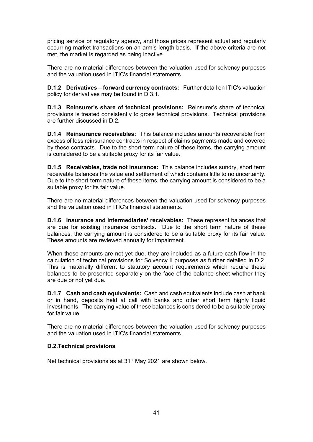pricing service or regulatory agency, and those prices represent actual and regularly occurring market transactions on an arm's length basis. If the above criteria are not met, the market is regarded as being inactive.

There are no material differences between the valuation used for solvency purposes and the valuation used in ITIC's financial statements.

D.1.2 Derivatives – forward currency contracts: Further detail on ITIC's valuation policy for derivatives may be found in D.3.1.

D.1.3 Reinsurer's share of technical provisions: Reinsurer's share of technical provisions is treated consistently to gross technical provisions. Technical provisions are further discussed in D.2.

**D.1.4 Reinsurance receivables:** This balance includes amounts recoverable from excess of loss reinsurance contracts in respect of claims payments made and covered by these contracts. Due to the short-term nature of these items, the carrying amount is considered to be a suitable proxy for its fair value.

**D.1.5 Receivables, trade not insurance:** This balance includes sundry, short term receivable balances the value and settlement of which contains little to no uncertainty. Due to the short-term nature of these items, the carrying amount is considered to be a suitable proxy for its fair value.

There are no material differences between the valuation used for solvency purposes and the valuation used in ITIC's financial statements.

D.1.6 Insurance and intermediaries' receivables: These represent balances that are due for existing insurance contracts. Due to the short term nature of these balances, the carrying amount is considered to be a suitable proxy for its fair value. These amounts are reviewed annually for impairment.

When these amounts are not yet due, they are included as a future cash flow in the calculation of technical provisions for Solvency II purposes as further detailed in D.2. This is materially different to statutory account requirements which require these balances to be presented separately on the face of the balance sheet whether they are due or not yet due.

**D.1.7 Cash and cash equivalents:** Cash and cash equivalents include cash at bank or in hand, deposits held at call with banks and other short term highly liquid investments. The carrying value of these balances is considered to be a suitable proxy for fair value.

There are no material differences between the valuation used for solvency purposes and the valuation used in ITIC's financial statements.

## D.2.Technical provisions

Net technical provisions as at 31<sup>st</sup> May 2021 are shown below.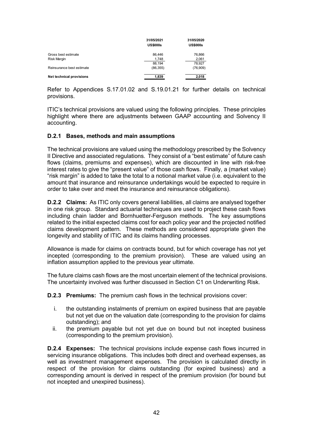|                                                                                                                                                                                              | 31/05/2021          | 31/05/2020         |  |
|----------------------------------------------------------------------------------------------------------------------------------------------------------------------------------------------|---------------------|--------------------|--|
|                                                                                                                                                                                              | <b>US\$000s</b>     | <b>US\$000s</b>    |  |
|                                                                                                                                                                                              |                     |                    |  |
|                                                                                                                                                                                              | 86,446<br>1,748     | 76,866<br>2,061    |  |
|                                                                                                                                                                                              | 88,194<br>(86, 355) | 78,927<br>(76,909) |  |
|                                                                                                                                                                                              | 1,839               | 2,018              |  |
| Gross best estimate<br>Risk Margin<br>Reinsurance best estimate<br>Net technical provisions<br>Refer to Appendices S.17.01.02 and S.19.01.21 for further details on technical<br>provisions. |                     |                    |  |

ITIC's technical provisions are valued using the following principles. These principles highlight where there are adjustments between GAAP accounting and Solvency II accounting.

## D.2.1 Bases, methods and main assumptions

The technical provisions are valued using the methodology prescribed by the Solvency II Directive and associated regulations. They consist of a "best estimate" of future cash flows (claims, premiums and expenses), which are discounted in line with risk-free interest rates to give the "present value" of those cash flows. Finally, a (market value) "risk margin" is added to take the total to a notional market value (i.e. equivalent to the amount that insurance and reinsurance undertakings would be expected to require in order to take over and meet the insurance and reinsurance obligations).

D.2.2 Claims: As ITIC only covers general liabilities, all claims are analysed together in one risk group. Standard actuarial techniques are used to project these cash flows including chain ladder and Bornhuetter-Ferguson methods. The key assumptions related to the initial expected claims cost for each policy year and the projected notified claims development pattern. These methods are considered appropriate given the longevity and stability of ITIC and its claims handling processes.

Allowance is made for claims on contracts bound, but for which coverage has not yet incepted (corresponding to the premium provision). These are valued using an inflation assumption applied to the previous year ultimate.

The future claims cash flows are the most uncertain element of the technical provisions. The uncertainty involved was further discussed in Section C1 on Underwriting Risk.

D.2.3 Premiums: The premium cash flows in the technical provisions cover:

- i. the outstanding instalments of premium on expired business that are payable but not yet due on the valuation date (corresponding to the provision for claims outstanding); and
- ii. the premium payable but not yet due on bound but not incepted business (corresponding to the premium provision).

D.2.4 Expenses: The technical provisions include expense cash flows incurred in servicing insurance obligations. This includes both direct and overhead expenses, as well as investment management expenses. The provision is calculated directly in respect of the provision for claims outstanding (for expired business) and a corresponding amount is derived in respect of the premium provision (for bound but not incepted and unexpired business).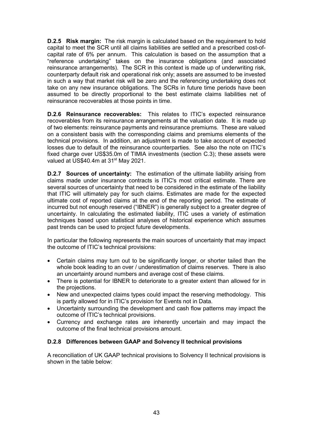**D.2.5 Risk margin:** The risk margin is calculated based on the requirement to hold capital to meet the SCR until all claims liabilities are settled and a prescribed cost-ofcapital rate of 6% per annum. This calculation is based on the assumption that a "reference undertaking" takes on the insurance obligations (and associated reinsurance arrangements). The SCR in this context is made up of underwriting risk, counterparty default risk and operational risk only; assets are assumed to be invested in such a way that market risk will be zero and the referencing undertaking does not take on any new insurance obligations. The SCRs in future time periods have been assumed to be directly proportional to the best estimate claims liabilities net of reinsurance recoverables at those points in time.

D.2.6 Reinsurance recoverables: This relates to ITIC's expected reinsurance recoverables from its reinsurance arrangements at the valuation date. It is made up of two elements: reinsurance payments and reinsurance premiums. These are valued on a consistent basis with the corresponding claims and premiums elements of the technical provisions. In addition, an adjustment is made to take account of expected losses due to default of the reinsurance counterparties. See also the note on ITIC's fixed charge over US\$35.0m of TIMIA investments (section C.3); these assets were valued at US\$40.4m at 31<sup>st</sup> May 2021.

**D.2.7 Sources of uncertainty:** The estimation of the ultimate liability arising from claims made under insurance contracts is ITIC's most critical estimate. There are several sources of uncertainty that need to be considered in the estimate of the liability that ITIC will ultimately pay for such claims. Estimates are made for the expected ultimate cost of reported claims at the end of the reporting period. The estimate of incurred but not enough reserved ("IBNER") is generally subject to a greater degree of uncertainty. In calculating the estimated liability, ITIC uses a variety of estimation techniques based upon statistical analyses of historical experience which assumes past trends can be used to project future developments.

In particular the following represents the main sources of uncertainty that may impact the outcome of ITIC's technical provisions:

- Certain claims may turn out to be significantly longer, or shorter tailed than the whole book leading to an over / underestimation of claims reserves. There is also an uncertainty around numbers and average cost of these claims.
- There is potential for IBNER to deteriorate to a greater extent than allowed for in the projections.
- New and unexpected claims types could impact the reserving methodology. This is partly allowed for in ITIC's provision for Events not in Data.
- Uncertainty surrounding the development and cash flow patterns may impact the outcome of ITIC's technical provisions.
- Currency and exchange rates are inherently uncertain and may impact the outcome of the final technical provisions amount.

# D.2.8 Differences between GAAP and Solvency II technical provisions

A reconciliation of UK GAAP technical provisions to Solvency II technical provisions is shown in the table below: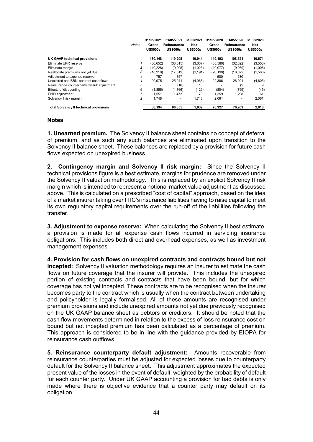|                                                                  |                     | 31/05/2021               | 31/05/2021                     | 31/05/2021                           | 31/05/2020               | 31/05/2020                     | 31/05/2020             |
|------------------------------------------------------------------|---------------------|--------------------------|--------------------------------|--------------------------------------|--------------------------|--------------------------------|------------------------|
|                                                                  | Notes               | Gross<br><b>US\$000s</b> | Reinsurance<br><b>US\$000s</b> | Net<br><b>US\$000s</b>               | Gross<br><b>US\$000s</b> | Reinsurance<br><b>US\$000s</b> | Net<br><b>US\$000s</b> |
| UK GAAP technical provisions                                     |                     | 130,148                  | 119,205                        | 10,944                               | 119,192                  | 108,521                        | 10,671                 |
| Eliminate UPR reserve                                            | $\mathcal I$        | (36, 652)                | (33,015)                       | (3,637)                              | (35, 580)                | (32,022)                       | (3, 558)               |
| Eliminate margin                                                 | $\overline{c}$<br>3 | (10, 228)                | (9,205)                        | (1,023)                              | (10, 077)                | (9,069)                        | (1,008)                |
| Reallocate premiums not yet due<br>Adjustment to expense reserve | $\mathbf{3}$        | (18, 210)<br>757         | (17, 019)<br>757               | (1, 191)<br>$\overline{\phantom{a}}$ | (20, 190)<br>580         | (18, 622)<br>580               | (1, 568)               |
| Unexpired and BBNI contract cash flows                           | $\overline{4}$      | 20,975                   | 25,941                         | (4,966)                              | 22,386                   | 26,991                         | (4,605)                |
| Reinsurance counterparty default adjustment                      | 5                   | $\sim$                   | (16)                           | 16                                   | $\overline{\phantom{a}}$ | (9)                            | 9                      |
| Effects of discounting<br>ENID adjustment                        | 6<br>$\overline{7}$ | (1,895)<br>1,551         | (1,766)<br>1,473               | (129)<br>78                          | (804)<br>1,359           | (759)<br>1,298                 | (45)<br>61             |
| Solvency II risk margin                                          | $\overline{c}$      | 1,748                    | $\overline{\phantom{a}}$       | 1,748                                | 2,061                    | $\overline{\phantom{a}}$       | 2,061                  |
| <b>Total Solvency II technical provisions</b>                    |                     | 88,194                   | 86,355                         | 1,839                                | 78,927                   | 76,909                         | 2,018                  |
|                                                                  |                     |                          |                                |                                      |                          |                                |                        |
| <b>Notes</b>                                                     |                     |                          |                                |                                      |                          |                                |                        |

#### **Notes**

1. Unearned premium. The Solvency II balance sheet contains no concept of deferral of premium, and as such any such balances are eliminated upon transition to the Solvency II balance sheet. These balances are replaced by a provision for future cash flows expected on unexpired business.

2. Contingency margin and Solvency II risk margin: Since the Solvency II technical provisions figure is a best estimate, margins for prudence are removed under the Solvency II valuation methodology. This is replaced by an explicit Solvency II risk margin which is intended to represent a notional market value adjustment as discussed above. This is calculated on a prescribed "cost of capital" approach, based on the idea of a market insurer taking over ITIC's insurance liabilities having to raise capital to meet its own regulatory capital requirements over the run-off of the liabilities following the transfer.

3. Adjustment to expense reserve: When calculating the Solvency II best estimate, a provision is made for all expense cash flows incurred in servicing insurance obligations. This includes both direct and overhead expenses, as well as investment management expenses.

4. Provision for cash flows on unexpired contracts and contracts bound but not incepted: Solvency II valuation methodology requires an insurer to estimate the cash flows on future coverage that the insurer will provide. This includes the unexpired portion of existing contracts and contracts that have been bound, but for which coverage has not yet incepted. These contracts are to be recognised when the insurer becomes party to the contract which is usually when the contract between undertaking and policyholder is legally formalised. All of these amounts are recognised under premium provisions and include unexpired amounts not yet due previously recognised on the UK GAAP balance sheet as debtors or creditors. It should be noted that the cash flow movements determined in relation to the excess of loss reinsurance cost on bound but not incepted premium has been calculated as a percentage of premium. This approach is considered to be in line with the guidance provided by EIOPA for reinsurance cash outflows.

5. Reinsurance counterparty default adjustment: Amounts recoverable from reinsurance counterparties must be adjusted for expected losses due to counterparty default for the Solvency II balance sheet. This adjustment approximates the expected present value of the losses in the event of default, weighted by the probability of default for each counter party. Under UK GAAP accounting a provision for bad debts is only made where there is objective evidence that a counter party may default on its obligation.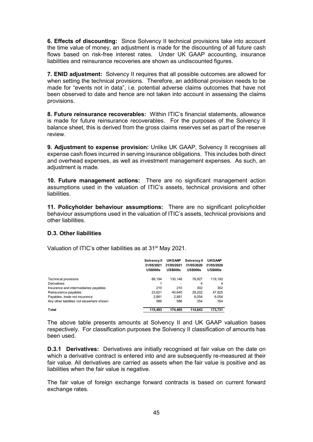6. Effects of discounting: Since Solvency II technical provisions take into account the time value of money, an adjustment is made for the discounting of all future cash flows based on risk-free interest rates. Under UK GAAP accounting, insurance liabilities and reinsurance recoveries are shown as undiscounted figures.

7. ENID adjustment: Solvency II requires that all possible outcomes are allowed for when setting the technical provisions. Therefore, an additional provision needs to be made for "events not in data", i.e. potential adverse claims outcomes that have not been observed to date and hence are not taken into account in assessing the claims provisions.

8. Future reinsurance recoverables: Within ITIC's financial statements, allowance is made for future reinsurance recoverables. For the purposes of the Solvency II balance sheet, this is derived from the gross claims reserves set as part of the reserve review.

# D.3. Other liabilities

| balance sheet, this is derived from the gross claims reserves set as part of the reserve<br>review.                                                                                                                                                                               |                                                           |                                          |                                                                                      |                                               |  |  |
|-----------------------------------------------------------------------------------------------------------------------------------------------------------------------------------------------------------------------------------------------------------------------------------|-----------------------------------------------------------|------------------------------------------|--------------------------------------------------------------------------------------|-----------------------------------------------|--|--|
| 9. Adjustment to expense provision: Unlike UK GAAP, Solvency II recognises all<br>expense cash flows incurred in serving insurance obligations. This includes both direct<br>and overhead expenses, as well as investment management expenses. As such, an<br>adjustment is made. |                                                           |                                          |                                                                                      |                                               |  |  |
| 10. Future management actions: There are no significant management action<br>assumptions used in the valuation of ITIC's assets, technical provisions and other<br>liabilities.                                                                                                   |                                                           |                                          |                                                                                      |                                               |  |  |
| 11. Policyholder behaviour assumptions: There are no significant policyholder<br>behaviour assumptions used in the valuation of ITIC's assets, technical provisions and<br>other liabilities.                                                                                     |                                                           |                                          |                                                                                      |                                               |  |  |
| <b>D.3. Other liabilities</b>                                                                                                                                                                                                                                                     |                                                           |                                          |                                                                                      |                                               |  |  |
| Valuation of ITIC's other liabilities as at 31 <sup>st</sup> May 2021.                                                                                                                                                                                                            |                                                           |                                          |                                                                                      |                                               |  |  |
|                                                                                                                                                                                                                                                                                   | <b>US\$000s</b>                                           | Solvency II UKGAAP<br><b>US\$000s</b>    | Solvency II UKGAAP<br>31/05/2021 31/05/2021 31/05/2020 31/05/2020<br><b>US\$000s</b> | <b>US\$000s</b>                               |  |  |
| <b>Technical provisions</b><br>Derivatives<br>Insurance and intermediaries payables<br>Reinsurance payables<br>Payables, trade not insurance<br>Any other liabilities not elsewhere shown                                                                                         | 88,194<br>$\overline{1}$<br>210<br>23,621<br>2,881<br>586 | 130,148<br>210<br>40,640<br>2,881<br>586 | 78,927<br>4<br>302<br>29,202<br>6,054<br>354                                         | 119,192<br>4<br>302<br>47,825<br>6,054<br>354 |  |  |
| Total                                                                                                                                                                                                                                                                             | 115,493                                                   | 174,465                                  | 114,843                                                                              | 173,731                                       |  |  |
| The above table presents amounts at Solvency II and UK GAAP valuation bases<br>respectively. For classification purposes the Solvency II classification of amounts has<br>been used.                                                                                              |                                                           |                                          |                                                                                      |                                               |  |  |

**D.3.1 Derivatives:** Derivatives are initially recognised at fair value on the date on which a derivative contract is entered into and are subsequently re-measured at their fair value. All derivatives are carried as assets when the fair value is positive and as liabilities when the fair value is negative.

The fair value of foreign exchange forward contracts is based on current forward exchange rates.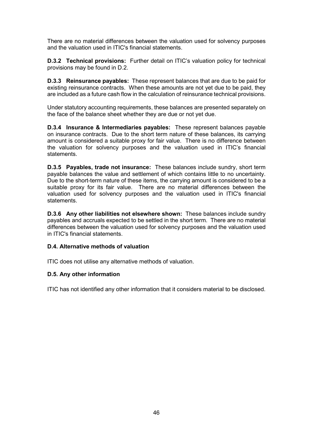There are no material differences between the valuation used for solvency purposes and the valuation used in ITIC's financial statements.

D.3.2 Technical provisions: Further detail on ITIC's valuation policy for technical provisions may be found in D.2.

**D.3.3 Reinsurance payables:** These represent balances that are due to be paid for existing reinsurance contracts. When these amounts are not yet due to be paid, they are included as a future cash flow in the calculation of reinsurance technical provisions.

Under statutory accounting requirements, these balances are presented separately on the face of the balance sheet whether they are due or not yet due.

D.3.4 Insurance & Intermediaries payables: These represent balances payable on insurance contracts. Due to the short term nature of these balances, its carrying amount is considered a suitable proxy for fair value. There is no difference between the valuation for solvency purposes and the valuation used in ITIC's financial statements.

D.3.5 Payables, trade not insurance: These balances include sundry, short term payable balances the value and settlement of which contains little to no uncertainty. Due to the short-term nature of these items, the carrying amount is considered to be a suitable proxy for its fair value. There are no material differences between the valuation used for solvency purposes and the valuation used in ITIC's financial statements.

D.3.6 Any other liabilities not elsewhere shown: These balances include sundry payables and accruals expected to be settled in the short term. There are no material differences between the valuation used for solvency purposes and the valuation used in ITIC's financial statements.

## D.4. Alternative methods of valuation

ITIC does not utilise any alternative methods of valuation.

## D.5. Any other information

ITIC has not identified any other information that it considers material to be disclosed.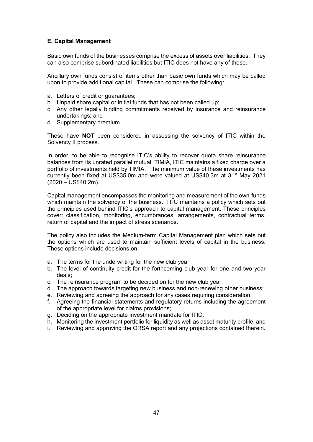# E. Capital Management

Basic own funds of the businesses comprise the excess of assets over liabilities. They can also comprise subordinated liabilities but ITIC does not have any of these.

Ancillary own funds consist of items other than basic own funds which may be called upon to provide additional capital. These can comprise the following:

- a. Letters of credit or guarantees;
- b. Unpaid share capital or initial funds that has not been called up;
- c. Any other legally binding commitments received by insurance and reinsurance undertakings; and
- d. Supplementary premium.

These have NOT been considered in assessing the solvency of ITIC within the Solvency II process.

In order, to be able to recognise ITIC's ability to recover quota share reinsurance balances from its unrated parallel mutual, TIMIA, ITIC maintains a fixed charge over a portfolio of investments held by TIMIA. The minimum value of these investments has currently been fixed at US\$35.0m and were valued at US\$40.3m at 31st May 2021  $(2020 - US$40.2m)$ .

Capital management encompasses the monitoring and measurement of the own-funds which maintain the solvency of the business. ITIC maintains a policy which sets out the principles used behind ITIC's approach to capital management. These principles cover: classification, monitoring, encumbrances, arrangements, contractual terms, return of capital and the impact of stress scenarios.

The policy also includes the Medium-term Capital Management plan which sets out the options which are used to maintain sufficient levels of capital in the business. These options include decisions on:

- a. The terms for the underwriting for the new club year;
- b. The level of continuity credit for the forthcoming club year for one and two year deals;
- c. The reinsurance program to be decided on for the new club year;
- d. The approach towards targeting new business and non-renewing other business;
- e. Reviewing and agreeing the approach for any cases requiring consideration;
- f. Agreeing the financial statements and regulatory returns including the agreement of the appropriate level for claims provisions;
- g. Deciding on the appropriate investment mandate for ITIC.
- h. Monitoring the investment portfolio for liquidity as well as asset maturity profile; and
- i. Reviewing and approving the ORSA report and any projections contained therein.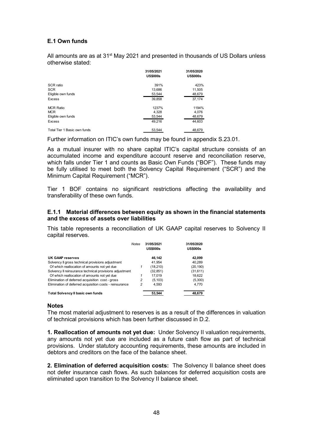# E.1 Own funds

| E.1 Own funds                    |                                                                                                 |                               |  |
|----------------------------------|-------------------------------------------------------------------------------------------------|-------------------------------|--|
|                                  |                                                                                                 |                               |  |
|                                  |                                                                                                 |                               |  |
| otherwise stated:                | All amounts are as at 31 <sup>st</sup> May 2021 and presented in thousands of US Dollars unless |                               |  |
|                                  | 31/05/2021<br><b>US\$000s</b>                                                                   | 31/05/2020<br><b>US\$000s</b> |  |
| SCR ratio                        | 391%                                                                                            | 423%                          |  |
| <b>SCR</b><br>Eligible own funds | 13,686<br>53,544                                                                                | 11,505<br>48,679              |  |
| Excess                           | 39,858                                                                                          | 37,174                        |  |
| <b>MCR Ratio</b><br><b>MCR</b>   | 1237%<br>4,328                                                                                  | 1194%<br>4,076                |  |
| Eligible own funds<br>Excess     | 53,544<br>49,216                                                                                | 48,679<br>44,603              |  |
| Total Tier 1 Basic own funds     | 53,544                                                                                          | 48,679                        |  |

As a mutual insurer with no share capital ITIC's capital structure consists of an accumulated income and expenditure account reserve and reconciliation reserve, which falls under Tier 1 and counts as Basic Own Funds ("BOF"). These funds may be fully utilised to meet both the Solvency Capital Requirement ("SCR") and the Minimum Capital Requirement ("MCR").  $\begin{array}{r}\n \stackrel{12376}{4,326} & \stackrel{11845}{4,076} \\
 \hline\n \stackrel{4326}{5,544} & \stackrel{46,679}{4,670} \\
 \hline\n \stackrel{55,544}{5,6216} & \stackrel{46,679}{4,603} \\
 \hline\n \end{array}$ 16 funds may be found in appendix S.23.01.<br>
name capital ITIC's capital structure consis <sup>43264</sup><br>  $\frac{4326}{49216}$ <br>  $\frac{48679}{44,603}$ <br>  $\frac{48679}{44,603}$ <br>
S may be found in appendix S.23.01.<br>
appital ITIC's capital structure consists of an<br>
account reserve and reconciliation reserve,<br>
Basic Own Funds ("BOF")

## E.1.1 Material differences between equity as shown in the financial statements and the excess of assets over liabilities

| Excess                                                                                                                                                                                                                                                                                                                                                                            |        | 49,216                                                                | 44,603                                               |  |
|-----------------------------------------------------------------------------------------------------------------------------------------------------------------------------------------------------------------------------------------------------------------------------------------------------------------------------------------------------------------------------------|--------|-----------------------------------------------------------------------|------------------------------------------------------|--|
| Total Tier 1 Basic own funds                                                                                                                                                                                                                                                                                                                                                      |        | 53,544                                                                | 48,679                                               |  |
| Further information on ITIC's own funds may be found in appendix S.23.01.                                                                                                                                                                                                                                                                                                         |        |                                                                       |                                                      |  |
| As a mutual insurer with no share capital ITIC's capital structure consists of an<br>accumulated income and expenditure account reserve and reconciliation reserve,<br>which falls under Tier 1 and counts as Basic Own Funds ("BOF"). These funds may<br>be fully utilised to meet both the Solvency Capital Requirement ("SCR") and the<br>Minimum Capital Requirement ("MCR"). |        |                                                                       |                                                      |  |
| Tier 1 BOF contains no significant restrictions affecting the availability and<br>transferability of these own funds.                                                                                                                                                                                                                                                             |        |                                                                       |                                                      |  |
| E.1.1 Material differences between equity as shown in the financial statements<br>and the excess of assets over liabilities                                                                                                                                                                                                                                                       |        |                                                                       |                                                      |  |
| This table represents a reconciliation of UK GAAP capital reserves to Solvency II<br>capital reserves.                                                                                                                                                                                                                                                                            |        |                                                                       |                                                      |  |
|                                                                                                                                                                                                                                                                                                                                                                                   | Notes  | 31/05/2021<br><b>US\$000s</b>                                         | 31/05/2020<br><b>US\$000s</b>                        |  |
| UK GAAP reserves                                                                                                                                                                                                                                                                                                                                                                  |        | 46,142<br>41,954                                                      | 42,099<br>40,289                                     |  |
| Solvency II gross technical provisions adjustment<br>Of which reallocation of amounts not yet due<br>Solvency II reinsurance technical provisions adjustment<br>Of which reallocation of amounts not yet due<br>Elimination of deferred acquisition cost - gross<br>Elimination of deferred acquisition costs - reinsurance                                                       | 2<br>2 | (18, 210)<br>(32, 851)<br>17,019<br>$\mathcal I$<br>(5, 103)<br>4,593 | (20, 190)<br>(31, 611)<br>18,622<br>(5,300)<br>4,770 |  |
| Total Solvency II basic own funds                                                                                                                                                                                                                                                                                                                                                 |        | 53,544                                                                | 48,679                                               |  |

## **Notes**

1. Reallocation of amounts not yet due: Under Solvency II valuation requirements, any amounts not yet due are included as a future cash flow as part of technical provisions. Under statutory accounting requirements, these amounts are included in debtors and creditors on the face of the balance sheet.

2. Elimination of deferred acquisition costs: The Solvency II balance sheet does not defer insurance cash flows. As such balances for deferred acquisition costs are eliminated upon transition to the Solvency II balance sheet.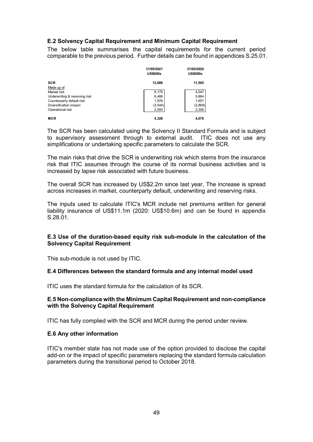## E.2 Solvency Capital Requirement and Minimum Capital Requirement

| E.2 Solvency Capital Requirement and Minimum Capital Requirement                                                                                                     |                               |                               |  |
|----------------------------------------------------------------------------------------------------------------------------------------------------------------------|-------------------------------|-------------------------------|--|
| The below table summarises the capital requirements for the current period<br>comparable to the previous period. Further details can be found in appendices S.25.01. |                               |                               |  |
|                                                                                                                                                                      | 31/05/2021<br><b>US\$000s</b> | 31/05/2020<br><b>US\$000s</b> |  |
| <b>SCR</b>                                                                                                                                                           | 13,686                        | 11,505                        |  |
| Made up of                                                                                                                                                           | 6,175                         | 4,547<br>5,864                |  |
| Market risk                                                                                                                                                          |                               |                               |  |
| Underwriting & reserving risk<br>Counterparty default risk<br>Diversification impact                                                                                 | 6,486<br>1,976<br>(3,544)     | 1,657<br>(2,869)              |  |
| Operational risk                                                                                                                                                     | 2,593                         | 2,306                         |  |
| <b>MCR</b>                                                                                                                                                           | 4,328                         | 4,076                         |  |
| The SCR has been calculated using the Solvency II Standard Formula and is subject                                                                                    |                               |                               |  |
| to supervisory assessment through to external audit.<br>simplifications or undertaking specific parameters to calculate the SCR.                                     |                               | ITIC does not use any         |  |

The main risks that drive the SCR is underwriting risk which stems from the insurance risk that ITIC assumes through the course of its normal business activities and is increased by lapse risk associated with future business.

The overall SCR has increased by US\$2.2m since last year, The increase is spread across increases in market, counterparty default, underwriting and reserving risks.

The inputs used to calculate ITIC's MCR include net premiums written for general liability insurance of US\$11.1m (2020: US\$10.6m) and can be found in appendix S.28.01.

## E.3 Use of the duration-based equity risk sub-module in the calculation of the Solvency Capital Requirement

This sub-module is not used by ITIC.

## E.4 Differences between the standard formula and any internal model used

ITIC uses the standard formula for the calculation of its SCR.

## E.5 Non-compliance with the Minimum Capital Requirement and non-compliance with the Solvency Capital Requirement

ITIC has fully complied with the SCR and MCR during the period under review.

## E.6 Any other information

ITIC's member state has not made use of the option provided to disclose the capital add-on or the impact of specific parameters replacing the standard formula calculation parameters during the transitional period to October 2018.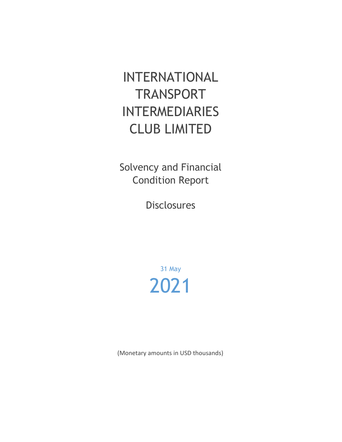INTERNATIONAL TRANSPORT INTERMEDIARIES CLUB LIMITED

Solvency and Financial Condition Report

**Disclosures** 

31 May 2021

(Monetary amounts in USD thousands)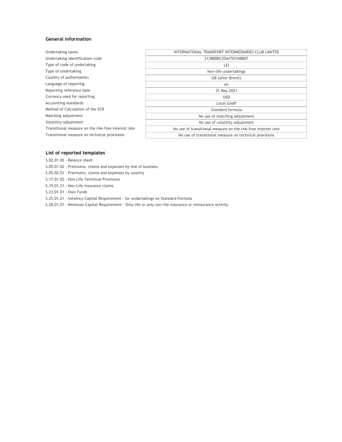#### **General information**

| Undertaking name                                    | INTERNATIONAL TRANSPORT INTERMEDIARIES CLUB LIMITED           |
|-----------------------------------------------------|---------------------------------------------------------------|
| Undertaking identification code                     | 213800BCZOAY52YN8807                                          |
| Type of code of undertaking                         | LEI                                                           |
| Type of undertaking                                 | Non-life undertakings                                         |
| Country of authorisation                            | GB (after Brexit)                                             |
| Language of reporting                               | en                                                            |
| Reporting reference date                            | 31 May 2021                                                   |
| Currency used for reporting                         | <b>USD</b>                                                    |
| Accounting standards                                | Local GAAP                                                    |
| Method of Calculation of the SCR                    | Standard formula                                              |
| Matching adjustment                                 | No use of matching adjustment                                 |
| Volatility adjustment                               | No use of volatility adjustment                               |
| Transitional measure on the risk-free interest rate | No use of transitional measure on the risk-free interest rate |
| Transitional measure on technical provisions        | No use of transitional measure on technical provisions        |
|                                                     |                                                               |

#### **List of reported templates**

S.02.01.02 - Balance sheet

S.05.01.02 - Premiums, claims and expenses by line of business

S.05.02.01 - Premiums, claims and expenses by country

S.17.01.02 - Non-Life Technical Provisions

S.19.01.21 - Non-Life insurance claims

S.23.01.01 - Own Funds

S.25.01.21 - Solvency Capital Requirement - for undertakings on Standard Formula

S.28.01.01 - Minimum Capital Requirement - Only life or only non-life insurance or reinsurance activity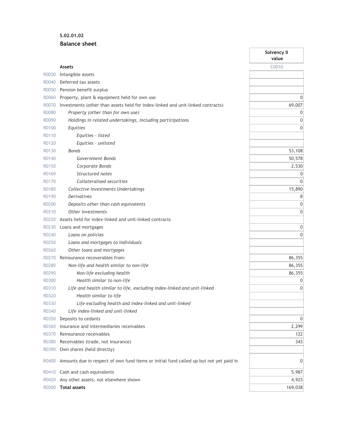# **S.02.01.02 Balance sheet**

|       |                                                                                        | Solvency II<br>value |
|-------|----------------------------------------------------------------------------------------|----------------------|
|       | Assets                                                                                 | C0010                |
| R0030 | Intangible assets                                                                      |                      |
| R0040 | Deferred tax assets                                                                    |                      |
| R0050 | Pension benefit surplus                                                                |                      |
| R0060 | Property, plant & equipment held for own use                                           | 0                    |
| R0070 | Investments (other than assets held for index-linked and unit-linked contracts)        | 69,007               |
| R0080 | Property (other than for own use)                                                      | 0                    |
| R0090 | Holdings in related undertakings, including participations                             | 0                    |
| R0100 | Equities                                                                               | 0                    |
| R0110 | Equities - listed                                                                      |                      |
| R0120 | Equities - unlisted                                                                    |                      |
| R0130 | <b>Bonds</b>                                                                           | 53,108               |
| R0140 | Government Bonds                                                                       | 50,578               |
| R0150 | Corporate Bonds                                                                        | 2,530                |
| R0160 | Structured notes                                                                       | 0                    |
| R0170 | Collateralised securities                                                              | $\mathbf{0}$         |
| R0180 | Collective Investments Undertakings                                                    | 15,890               |
| R0190 | Derivatives                                                                            | 8                    |
| R0200 | Deposits other than cash equivalents                                                   | 0                    |
| R0210 | Other investments                                                                      | 0                    |
| R0220 | Assets held for index-linked and unit-linked contracts                                 |                      |
| R0230 | Loans and mortgages                                                                    | 0                    |
| R0240 | Loans on policies                                                                      | 0                    |
| R0250 | Loans and mortgages to individuals                                                     |                      |
| R0260 | Other loans and mortgages                                                              |                      |
| R0270 | Reinsurance recoverables from:                                                         | 86,355               |
| R0280 | Non-life and health similar to non-life                                                | 86,355               |
| R0290 | Non-life excluding health                                                              | 86,355               |
| R0300 | Health similar to non-life                                                             | 0                    |
| R0310 | Life and health similar to life, excluding index-linked and unit-linked                | 0                    |
| R0320 | Health similar to life                                                                 |                      |
| R0330 | Life excluding health and index-linked and unit-linked                                 |                      |
| R0340 | Life index-linked and unit-linked                                                      |                      |
| R0350 | Deposits to cedants                                                                    | 0                    |
| R0360 | Insurance and intermediaries receivables                                               | 2,299                |
| R0370 | Reinsurance receivables                                                                | 122                  |
| R0380 | Receivables (trade, not insurance)                                                     | 343                  |
| R0390 | Own shares (held directly)                                                             |                      |
| R0400 | Amounts due in respect of own fund items or initial fund called up but not yet paid in | 0                    |
| R0410 | Cash and cash equivalents                                                              | 5,987                |
| R0420 | Any other assets, not elsewhere shown                                                  | 4,925                |
| R0500 | <b>Total assets</b>                                                                    | 169,038              |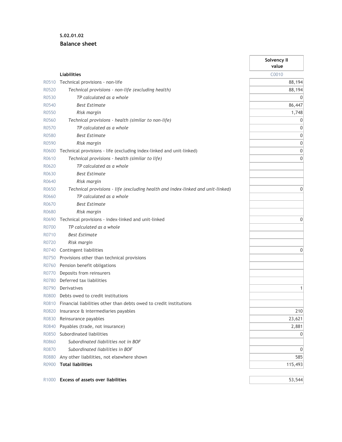# **S.02.01.02 Balance sheet**

|                   |                                                                                 | Solvency II<br>value |
|-------------------|---------------------------------------------------------------------------------|----------------------|
|                   | <b>Liabilities</b>                                                              | C0010                |
| R0510             | Technical provisions - non-life                                                 | 88,194               |
| R0520             | Technical provisions - non-life (excluding health)                              | 88,194               |
| R0530             | TP calculated as a whole                                                        | 0                    |
| R0540             | <b>Best Estimate</b>                                                            | 86,447               |
| R0550             | Risk margin                                                                     | 1,748                |
| R0560             | Technical provisions - health (similar to non-life)                             | 0                    |
| R0570             | TP calculated as a whole                                                        | 0                    |
| R0580             | <b>Best Estimate</b>                                                            | 0                    |
| R0590             | Risk margin                                                                     | 0                    |
| R0600             | Technical provisions - life (excluding index-linked and unit-linked)            | 0                    |
| R0610             | Technical provisions - health (similar to life)                                 | 0                    |
| R0620             | TP calculated as a whole                                                        |                      |
| R0630             | <b>Best Estimate</b>                                                            |                      |
| R0640             | Risk margin                                                                     |                      |
| R0650             | Technical provisions - life (excluding health and index-linked and unit-linked) | 0                    |
| R0660             | TP calculated as a whole                                                        |                      |
| R0670             | <b>Best Estimate</b>                                                            |                      |
| R0680             | Risk margin                                                                     |                      |
| R0690             | Technical provisions - index-linked and unit-linked                             | 0                    |
| R0700             | TP calculated as a whole                                                        |                      |
| R0710             | <b>Best Estimate</b>                                                            |                      |
| R0720             | Risk margin                                                                     |                      |
| R0740             | Contingent liabilities                                                          | 0                    |
| R0750             | Provisions other than technical provisions                                      |                      |
| R0760             | Pension benefit obligations                                                     |                      |
| R0770             | Deposits from reinsurers                                                        |                      |
| R0780             | Deferred tax liabilities                                                        |                      |
| R0790             | Derivatives                                                                     | 1                    |
| R0800             | Debts owed to credit institutions                                               |                      |
| R0810             | Financial liabilities other than debts owed to credit institutions              |                      |
| R0820             | Insurance & intermediaries payables                                             | 210                  |
| R0830             | Reinsurance payables                                                            | 23,621               |
| R0840             | Payables (trade, not insurance)                                                 | 2,881                |
| R0850             | Subordinated liabilities                                                        | 0                    |
| R0860             | Subordinated liabilities not in BOF                                             |                      |
| R0870             | Subordinated liabilities in BOF                                                 | 0                    |
| R0880             | Any other liabilities, not elsewhere shown                                      | 585                  |
| R0900             | <b>Total liabilities</b>                                                        | 115,493              |
|                   |                                                                                 |                      |
| R <sub>1000</sub> | <b>Excess of assets over liabilities</b>                                        | 53,544               |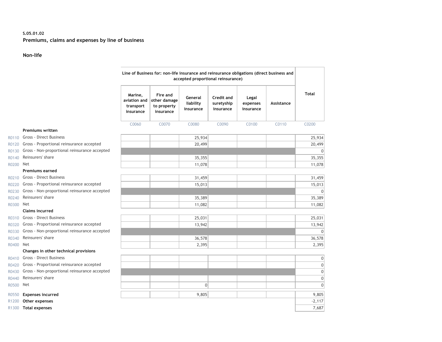#### **S.05.01.02 Premiums, claims and expenses by line of business**

#### **Non-life**

|                    |                                               | accepted proportional reinsurance)                |                                                      |                                   |                                              |                                |            |              |  |
|--------------------|-----------------------------------------------|---------------------------------------------------|------------------------------------------------------|-----------------------------------|----------------------------------------------|--------------------------------|------------|--------------|--|
|                    |                                               | Marine,<br>aviation and<br>transport<br>insurance | Fire and<br>other damage<br>to property<br>insurance | General<br>liability<br>insurance | <b>Credit and</b><br>suretyship<br>insurance | Legal<br>expenses<br>insurance | Assistance | <b>Total</b> |  |
|                    |                                               | C0060                                             | C0070                                                | C0080                             | C0090                                        | C0100                          | C0110      | C0200        |  |
|                    | <b>Premiums written</b>                       |                                                   |                                                      |                                   |                                              |                                |            |              |  |
| R0110              | Gross - Direct Business                       |                                                   |                                                      | 25,934                            |                                              |                                |            | 25,934       |  |
| R0120              | Gross - Proportional reinsurance accepted     |                                                   |                                                      | 20,499                            |                                              |                                |            | 20,499       |  |
| R0130              | Gross - Non-proportional reinsurance accepted |                                                   |                                                      |                                   |                                              |                                |            | 0            |  |
| R0140              | Reinsurers' share                             |                                                   |                                                      | 35,355                            |                                              |                                |            | 35,355       |  |
| R0200              | Net                                           |                                                   |                                                      | 11,078                            |                                              |                                |            | 11,078       |  |
|                    | <b>Premiums earned</b>                        |                                                   |                                                      |                                   |                                              |                                |            |              |  |
| R0210              | Gross - Direct Business                       |                                                   |                                                      | 31,459                            |                                              |                                |            | 31,459       |  |
| R0220              | Gross - Proportional reinsurance accepted     |                                                   |                                                      | 15,013                            |                                              |                                |            | 15,013       |  |
| R0230              | Gross - Non-proportional reinsurance accepted |                                                   |                                                      |                                   |                                              |                                |            | 0            |  |
| R0240              | Reinsurers' share                             |                                                   |                                                      | 35,389                            |                                              |                                |            | 35,389       |  |
| R0300              | Net                                           |                                                   |                                                      | 11,082                            |                                              |                                |            | 11,082       |  |
|                    | <b>Claims incurred</b>                        |                                                   |                                                      |                                   |                                              |                                |            |              |  |
| R0310              | Gross - Direct Business                       |                                                   |                                                      | 25,031                            |                                              |                                |            | 25,031       |  |
| R0320              | Gross - Proportional reinsurance accepted     |                                                   |                                                      | 13,942                            |                                              |                                |            | 13,942       |  |
| R0330              | Gross - Non-proportional reinsurance accepted |                                                   |                                                      |                                   |                                              |                                |            | $\Omega$     |  |
| R0340              | Reinsurers' share                             |                                                   |                                                      | 36,578                            |                                              |                                |            | 36,578       |  |
| R0400 Net          |                                               |                                                   |                                                      | 2,395                             |                                              |                                |            | 2,395        |  |
|                    | Changes in other technical provisions         |                                                   |                                                      |                                   |                                              |                                |            |              |  |
| R0410              | Gross - Direct Business                       |                                                   |                                                      |                                   |                                              |                                |            | 0            |  |
| R0420              | Gross - Proportional reinsurance accepted     |                                                   |                                                      |                                   |                                              |                                |            | 0            |  |
| R0430              | Gross - Non-proportional reinsurance accepted |                                                   |                                                      |                                   |                                              |                                |            | $\mathbf 0$  |  |
| R0440              | Reinsurers' share                             |                                                   |                                                      |                                   |                                              |                                |            | $\mathbf 0$  |  |
| R0500              | Net                                           |                                                   |                                                      | $\mathbf 0$                       |                                              |                                |            | 0            |  |
| R0550              | <b>Expenses incurred</b>                      |                                                   |                                                      | 9,805                             |                                              |                                |            | 9,805        |  |
| R <sub>1200</sub>  | Other expenses                                |                                                   |                                                      |                                   |                                              |                                |            | $-2,117$     |  |
| R <sub>1</sub> 300 | <b>Total expenses</b>                         |                                                   |                                                      |                                   |                                              |                                |            | 7,687        |  |
|                    |                                               |                                                   |                                                      |                                   |                                              |                                |            |              |  |

**Line of Business for: non-life insurance and reinsurance obligations (direct business and**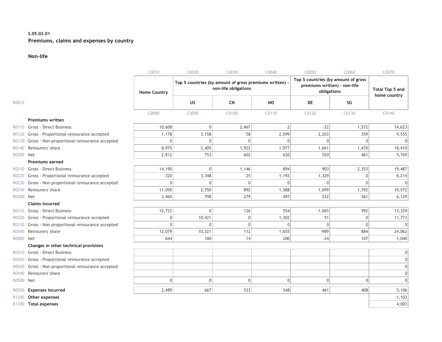## **S.05.02.01 Premiums, claims and expenses by country**

#### **Non-life**

|           |                                               | C0010               | C0020                                                   | C0030                | C0040       | C0050    | C0060                                                                              | C0070                           |
|-----------|-----------------------------------------------|---------------------|---------------------------------------------------------|----------------------|-------------|----------|------------------------------------------------------------------------------------|---------------------------------|
|           |                                               | <b>Home Country</b> | Top 5 countries (by amount of gross premiums written) - | non-life obligations |             |          | Top 5 countries (by amount of gross<br>premiums written) - non-life<br>obligations | Total Top 5 and<br>home country |
| R0010     |                                               |                     | <b>US</b>                                               | <b>CN</b>            | <b>NO</b>   | DE       | SG                                                                                 |                                 |
|           |                                               | C0080               | C0090                                                   | C0100                | C0110       | C0120    | C0130                                                                              | C0140                           |
|           | <b>Premiums written</b>                       |                     |                                                         |                      |             |          |                                                                                    |                                 |
|           | R0110 Gross - Direct Business                 | 10,608              | 0                                                       | 2,467                | $-2$        | $-22$    | 1,572                                                                              | 14,623                          |
| R0120     | Gross - Proportional reinsurance accepted     | 1,178               | 3,158                                                   | 58                   | 2,599       | 2,203    | 359                                                                                | 9,555                           |
| R0130     | Gross - Non-proportional reinsurance accepted | 0                   | $\Omega$                                                | $\Omega$             | $\mathbf 0$ | $\Omega$ | $\Omega$                                                                           | $\Omega$                        |
| R0140     | Reinsurers' share                             | 8,975               | 2,405                                                   | 1,922                | 1,977       | 1,661    | 1,470                                                                              | 18,410                          |
| R0200 Net |                                               | 2,812               | 753                                                     | 602                  | 620         | 520      | 461                                                                                | 5,769                           |
|           | <b>Premiums earned</b>                        |                     |                                                         |                      |             |          |                                                                                    |                                 |
|           | R0210 Gross - Direct Business                 | 14,190              | $\overline{0}$                                          | 1,146                | 894         | 903      | 2,353                                                                              | 19,487                          |
| R0220     | Gross - Proportional reinsurance accepted     | 320                 | 3,348                                                   | 25                   | 1,192       | 1,329    | $\mathbf{0}$                                                                       | 6,214                           |
| R0230     | Gross - Non-proportional reinsurance accepted | $\Omega$            | $\Omega$                                                | $\Omega$             | $\Omega$    | $\Omega$ | $\Omega$                                                                           | $\Omega$                        |
| R0240     | Reinsurers' share                             | 11,050              | 2,550                                                   | 892                  | 1,588       | 1,699    | 1,792                                                                              | 19,572                          |
| R0300 Net |                                               | 3,460               | 798                                                     | 279                  | 497         | 532      | 561                                                                                | 6,129                           |
|           | <b>Claims incurred</b>                        |                     |                                                         |                      |             |          |                                                                                    |                                 |
| R0310     | <b>Gross - Direct Business</b>                | 12,722              | $\overline{0}$                                          | 126                  | 554         | $-1,065$ | 992                                                                                | 13,329                          |
| R0320     | Gross - Proportional reinsurance accepted     | 0                   | 10,421                                                  | 0                    | 1,302       | 51       | $\mathbf{0}$                                                                       | 11,773                          |
| R0330     | Gross - Non-proportional reinsurance accepted | $\Omega$            | $\Omega$                                                | $\Omega$             | $\mathbf 0$ | $\Omega$ | $\Omega$                                                                           | 0                               |
| R0340     | Reinsurers' share                             | 12,079              | 10,321                                                  | 112                  | 1,655       | $-989$   | 884                                                                                | 24,062                          |
| R0400 Net |                                               | 644                 | 100                                                     | 14                   | 200         | $-24$    | 107                                                                                | 1,040                           |
|           | Changes in other technical provisions         |                     |                                                         |                      |             |          |                                                                                    |                                 |
|           | R0410 Gross - Direct Business                 |                     |                                                         |                      |             |          |                                                                                    | 0                               |
| R0420     | Gross - Proportional reinsurance accepted     |                     |                                                         |                      |             |          |                                                                                    | 0                               |
| R0430     | Gross - Non-proportional reinsurance accepted |                     |                                                         |                      |             |          |                                                                                    | 0                               |
| R0440     | Reinsurers' share                             |                     |                                                         |                      |             |          |                                                                                    | 0                               |
| R0500 Net |                                               | 0                   | $\mathbf{0}$                                            | $\Omega$             | 0           | 0        | $\Omega$                                                                           | 0                               |
| R0550     | <b>Expenses incurred</b>                      | 2,489               | 667                                                     | 533                  | 548         | 461      | 408                                                                                | 5,106                           |
| R1200     | Other expenses                                |                     |                                                         |                      |             |          |                                                                                    | $-1,103$                        |
|           | R1300 Total expenses                          |                     |                                                         |                      |             |          |                                                                                    | 4,003                           |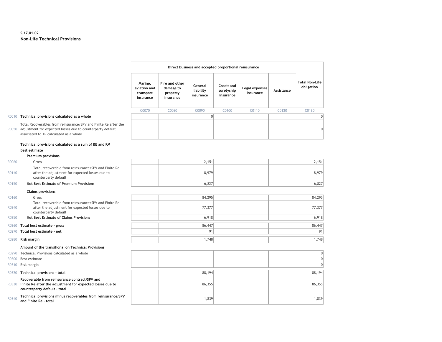|       |                                                                                                                                                                               | Direct business and accepted proportional reinsurance |                                                      |                                   |                                       |                             |            |                                     |  |  |
|-------|-------------------------------------------------------------------------------------------------------------------------------------------------------------------------------|-------------------------------------------------------|------------------------------------------------------|-----------------------------------|---------------------------------------|-----------------------------|------------|-------------------------------------|--|--|
|       |                                                                                                                                                                               | Marine,<br>aviation and<br>transport<br>insurance     | Fire and other<br>damage to<br>property<br>insurance | General<br>liability<br>insurance | Credit and<br>suretyship<br>insurance | Legal expenses<br>insurance | Assistance | <b>Total Non-Life</b><br>obligation |  |  |
|       |                                                                                                                                                                               | C0070                                                 | C0080                                                | C0090                             | C0100                                 | C0110                       | C0120      | C0180                               |  |  |
|       | R0010 Technical provisions calculated as a whole                                                                                                                              |                                                       |                                                      | 0                                 |                                       |                             |            | 0                                   |  |  |
|       | Total Recoverables from reinsurance/SPV and Finite Re after the<br>R0050 adjustment for expected losses due to counterparty default<br>associated to TP calculated as a whole |                                                       |                                                      |                                   |                                       |                             |            | $\Omega$                            |  |  |
|       | Technical provisions calculated as a sum of BE and RM                                                                                                                         |                                                       |                                                      |                                   |                                       |                             |            |                                     |  |  |
|       | <b>Best estimate</b><br>Premium provisions                                                                                                                                    |                                                       |                                                      |                                   |                                       |                             |            |                                     |  |  |
| R0060 | Gross                                                                                                                                                                         |                                                       |                                                      | 2,151                             |                                       |                             |            | 2,151                               |  |  |
| R0140 | Total recoverable from reinsurance/SPV and Finite Re<br>after the adjustment for expected losses due to<br>counterparty default                                               |                                                       |                                                      | 8,979                             |                                       |                             |            | 8,979                               |  |  |
| R0150 | <b>Net Best Estimate of Premium Provisions</b>                                                                                                                                |                                                       |                                                      | $-6,827$                          |                                       |                             |            | $-6,827$                            |  |  |
|       | <b>Claims provisions</b>                                                                                                                                                      |                                                       |                                                      |                                   |                                       |                             |            |                                     |  |  |
| R0160 | Gross                                                                                                                                                                         |                                                       |                                                      | 84,295                            |                                       |                             |            | 84,295                              |  |  |
| R0240 | Total recoverable from reinsurance/SPV and Finite Re<br>after the adjustment for expected losses due to<br>counterparty default                                               |                                                       |                                                      | 77,377                            |                                       |                             |            | 77,377                              |  |  |
| R0250 | <b>Net Best Estimate of Claims Provisions</b>                                                                                                                                 |                                                       |                                                      | 6,918                             |                                       |                             |            | 6,918                               |  |  |
|       | R0260 Total best estimate - gross                                                                                                                                             |                                                       |                                                      | 86,447                            |                                       |                             |            | 86,447                              |  |  |
| R0270 | Total best estimate - net                                                                                                                                                     |                                                       |                                                      | 91                                |                                       |                             |            | 91                                  |  |  |
|       | R0280 Risk margin                                                                                                                                                             |                                                       |                                                      | 1,748                             |                                       |                             |            | 1,748                               |  |  |
|       | Amount of the transitional on Technical Provisions                                                                                                                            |                                                       |                                                      |                                   |                                       |                             |            |                                     |  |  |
|       | R0290 Technical Provisions calculated as a whole                                                                                                                              |                                                       |                                                      |                                   |                                       |                             |            | 0                                   |  |  |
| R0300 | Best estimate                                                                                                                                                                 |                                                       |                                                      |                                   |                                       |                             |            | 0                                   |  |  |
|       | R0310 Risk margin                                                                                                                                                             |                                                       |                                                      |                                   |                                       |                             |            | 0                                   |  |  |
| R0320 | Technical provisions - total                                                                                                                                                  |                                                       |                                                      | 88,194                            |                                       |                             |            | 88,194                              |  |  |
|       | Recoverable from reinsurance contract/SPV and<br>R0330 Finite Re after the adjustment for expected losses due to<br>counterparty default - total                              |                                                       |                                                      | 86,355                            |                                       |                             |            | 86,355                              |  |  |
| R0340 | Technical provisions minus recoverables from reinsurance/SPV<br>and Finite Re - total                                                                                         |                                                       |                                                      | 1,839                             |                                       |                             |            | 1,839                               |  |  |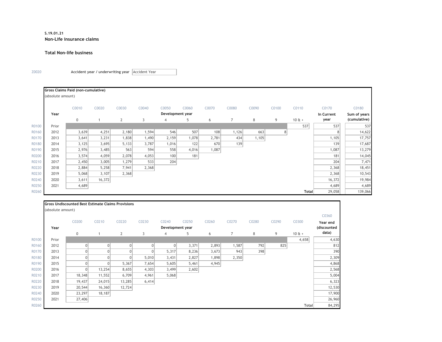#### **S.19.01.21Non-Life insurance claims**

#### **Total Non-life business**

Z0020

**Accident year / underwriting year**  Accident Year

|       |                   | Gross Claims Paid (non-cumulative) |        |                |       |                  |       |       |       |       |       |         |            |              |
|-------|-------------------|------------------------------------|--------|----------------|-------|------------------|-------|-------|-------|-------|-------|---------|------------|--------------|
|       | (absolute amount) |                                    |        |                |       |                  |       |       |       |       |       |         |            |              |
|       |                   | C0010                              | C0020  | C0030          | C0040 | C0050            | C0060 | C0070 | C0080 | C0090 | C0100 | C0110   | C0170      | C0180        |
|       | Year              |                                    |        |                |       | Development year |       |       |       |       |       |         | In Current | Sum of years |
|       |                   | 0                                  |        | $\overline{2}$ | 3     | $\overline{4}$   | 5     | 6     | 7     | 8     | 9     | $10E +$ | year       | (cumulative) |
| R0100 | Prior             |                                    |        |                |       |                  |       |       |       |       |       | 537     | 537        | 537          |
| R0160 | 2012              | 3,639                              | 4,251  | 2,180          | 1,594 | 546              | 507   | 108   | 1,126 | 663   | 8     |         | 8          | 14,622       |
| R0170 | 2013              | 3,641                              | 3,231  | 1,838          | 1,490 | 2,159            | 1,078 | 2,781 | 434   | 1,105 |       |         | 1,105      | 17,757       |
| R0180 | 2014              | 3,125                              | 3,695  | 5,133          | 3,787 | 1,016            | 122   | 670   | 139   |       |       |         | 139        | 17,687       |
| R0190 | 2015              | 2,976                              | 3,485  | 563            | 594   | 558              | 4,016 | 1,087 |       |       |       |         | 1,087      | 13,279       |
| R0200 | 2016              | 3,574                              | 4,059  | 2,078          | 4,053 | 100              | 181   |       |       |       |       |         | 181        | 14,045       |
| R0210 | 2017              | 2,450                              | 3,005  | 1,279          | 533   | 204              |       |       |       |       |       |         | 204        | 7,471        |
| R0220 | 2018              | 2,884                              | 5,258  | 7,941          | 2,368 |                  |       |       |       |       |       |         | 2,368      | 18,451       |
| R0230 | 2019              | 5,068                              | 3,107  | 2,368          |       |                  |       |       |       |       |       |         | 2,368      | 10,543       |
| R0240 | 2020              | 3,611                              | 16,372 |                |       |                  |       |       |       |       |       |         | 16,372     | 19,984       |
| R0250 | 2021              | 4,689                              |        |                |       |                  |       |       |       |       |       |         | 4,689      | 4,689        |
| R0260 |                   |                                    |        |                |       |                  |       |       |       |       |       | Total   | 29,058     | 139,066      |

|       |                   | <b>Gross Undiscounted Best Estimate Claims Provisions</b> |              |                |       |                  |       |       |                |       |       |              |             |
|-------|-------------------|-----------------------------------------------------------|--------------|----------------|-------|------------------|-------|-------|----------------|-------|-------|--------------|-------------|
|       | (absolute amount) |                                                           |              |                |       |                  |       |       |                |       |       |              |             |
|       |                   |                                                           |              |                |       |                  |       |       |                |       |       |              | C0360       |
|       |                   | C0200                                                     | C0210        | C0220          | C0230 | C0240            | C0250 | C0260 | C0270          | C0280 | C0290 | C0300        | Year end    |
|       | Year              |                                                           |              |                |       | Development year |       |       |                |       |       |              | (discounted |
|       |                   | $\bf 0$                                                   | $\mathbf{1}$ | $\overline{2}$ | 3     | 4                | 5     | 6     | $\overline{7}$ | 8     | 9     | $10E +$      | data)       |
| R0100 | Prior             |                                                           |              |                |       |                  |       |       |                |       |       | 4,658        | 4,630       |
| R0160 | 2012              | 0                                                         | 0            | 0              | 0     | $\Omega$         | 3,371 | 2,893 | 1,587          | 792   | 825   |              | 812         |
| R0170 | 2013              | 01                                                        | 0            | 0              | 0     | 5,317            | 8,236 | 3,673 | 943            | 398   |       |              | 390         |
| R0180 | 2014              | 01                                                        | 0            | 0              | 5,010 | 3,431            | 2,827 | 1,898 | 2,350          |       |       |              | 2,309       |
| R0190 | 2015              |                                                           | $\Omega$     | 5,367          | 7,654 | 5,605            | 5,461 | 4,945 |                |       |       |              | 4,868       |
| R0200 | 2016              | 01                                                        | 13,254       | 8,655          | 4,303 | 3,499            | 2,602 |       |                |       |       |              | 2,568       |
| R0210 | 2017              | 18,348                                                    | 11,552       | 6,709          | 4,961 | 5,068            |       |       |                |       |       |              | 5,004       |
| R0220 | 2018              | 19,437                                                    | 24,015       | 13,285         | 6,414 |                  |       |       |                |       |       |              | 6,323       |
| R0230 | 2019              | 20,544                                                    | 16,360       | 12,724         |       |                  |       |       |                |       |       |              | 12,530      |
| R0240 | 2020              | 23,297                                                    | 18,187       |                |       |                  |       |       |                |       |       |              | 17,900      |
| R0250 | 2021              | 27,406                                                    |              |                |       |                  |       |       |                |       |       |              | 26,960      |
| R0260 |                   |                                                           |              |                |       |                  |       |       |                |       |       | <b>Total</b> | 84,295      |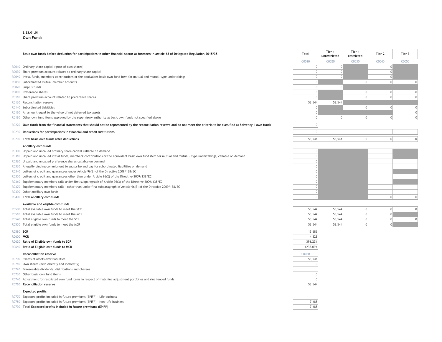#### **S.23.01.01Own Funds**

#### **Basic own funds before deduction for participations in other financial sector as foreseen in article 68 of Delegated Regulation 2015/35 Total Tier 1 unrestricted**

- 
- 
- R0040 Initial funds, members' contributions or the equivalent basic own-fund item for mutual and mutual-type undertakings 00 0
- 
- R0070 Surplus funds
- R0090 Preference shares
- 
- R0130 Reconciliation reserve
- R0140 Subordinated liabilities
- 
- R0180 Other own fund items approved by the supervisory authority as basic own funds not specified above 00000

#### R0220 **Own funds from the financial statements that should not be represented by the reconciliation reserve and do not meet the criteria to be classified as Solvency II own funds** 0

#### R0230 **Deductions for participations in financial and credit institutions** 0

#### **Ancillary own funds**

- R0300 Unpaid and uncalled ordinary share capital callable on demand 0
- R0310 Unpaid and uncalled initial funds, members' contributions or the equivalent basic own fund item for mutual and mutual type undertakings, callable on demand 0
- R0320 Unpaid and uncalled preference shares callable on demand 0
- R0330 A legally binding commitment to subscribe and pay for subordinated liabilities on demand 0
- R0340 Letters of credit and guarantees under Article 96(2) of the Directive 2009/138/EC 0
- R0350 Letters of credit and guarantees other than under Article 96(2) of the Directive 2009/138/EC 0
- R0360 Supplementary members calls under first subparagraph of Article 96(3) of the Directive 2009/138/EC 0
- R0370 Supplementary members calls other than under first subparagraph of Article 96(3) of the Directive 2009/138/EC 0
- R0390 Other ancillary own funds 0
- R0400 Total ancillary own funds

#### **Available and eligible own funds**

- R0500 Total available own funds to meet the SCR
- R0510 Total available own funds to meet the MCR
- 
- 

#### R0580 **SCR**

- R0600 **MCR**
- R0620 **Ratio of Eligible own funds to SCR** 391.23%
- R0640 **Ratio of Eligible own funds to MCR** 1237.09% and the state of the state of the state of the state of the state of the state of the state of  $\sim$  1237.09% and the state of  $\sim$  1237.09% and the state of  $\sim$  1237.09%

#### **Reconcilliation reserve**

- R0700 Excess of assets over liabilities 53,544 Franchic States over liabilities 53,544 Franchic States of assets over liabilities 53,544 Franchic States of assets over liabilities 53,544 Franchic States over liabilities 53
- R0710 Own shares (held directly and indirectly) 0
- R0720 Foreseeable dividends, distributions and charges
- R0730 Other basic own fund items 000 percent control to the control of the control of the control of the control of the control of the control of the control of the control of the control of the control of the control of t
- R0740 Adjustment for restricted own fund items in respect of matching adjustment portfolios and ring fenced funds 000  $\,$

#### R0760 **Reconciliation reserve**

#### **Expected profits**

- R0770 Expected profits included in future premiums (EPIFP) Life business
- R0780 Expected profits included in future premiums (EPIFP) Non- life business 7,488
- R0790 **Total Expected profits included in future premiums (EPIFP)** 7,488

| Basic own funds before deduction for participations in other financial sector as foreseen in article 68 of Delegated Regulation 2015/35                                           | Total  | Tier 1<br>unrestricted | Tier 1<br>restricted | Tier 2 | Tier 3 |
|-----------------------------------------------------------------------------------------------------------------------------------------------------------------------------------|--------|------------------------|----------------------|--------|--------|
|                                                                                                                                                                                   | C0010  | C0020                  | C0030                | C0040  | C0050  |
| R0010 Ordinary share capital (gross of own shares)                                                                                                                                |        |                        |                      |        |        |
| R0030 Share premium account related to ordinary share capital                                                                                                                     |        |                        |                      |        |        |
| R0040 Initial funds, members' contributions or the equivalent basic own-fund item for mutual and mutual-type undertakings                                                         |        |                        |                      |        |        |
| R0050 Subordinated mutual member accounts                                                                                                                                         |        |                        |                      |        |        |
| R0070 Surplus funds                                                                                                                                                               |        |                        |                      |        |        |
| R0090 Preference shares                                                                                                                                                           |        |                        |                      |        |        |
| R0110 Share premium account related to preference shares                                                                                                                          |        |                        |                      |        |        |
| R0130 Reconciliation reserve                                                                                                                                                      | 53,544 | 53,544                 |                      |        |        |
| R0140 Subordinated liabilities                                                                                                                                                    |        |                        |                      |        |        |
| R0160 An amount equal to the value of net deferred tax assets                                                                                                                     |        |                        |                      |        |        |
| R0180 Other own fund items approved by the supervisory authority as basic own funds not specified above                                                                           |        |                        |                      |        |        |
| R0220 Own funds from the financial statements that should not be represented by the reconciliation reserve and do not meet the criteria to be classified as Solvency II own funds |        |                        |                      |        |        |
| R0230 Deductions for participations in financial and credit institutions                                                                                                          |        |                        |                      |        |        |
| R0290 Total basic own funds after deductions                                                                                                                                      | 53,544 | 53,544                 |                      |        |        |
|                                                                                                                                                                                   |        |                        |                      |        |        |



| R0500 Total available own funds to meet the SCR | 53,544 | 53,544 |  |  |
|-------------------------------------------------|--------|--------|--|--|
| R0510 Total available own funds to meet the MCR | 53,544 | 53,544 |  |  |
| R0540 Total eligible own funds to meet the SCR  | 53,544 | 53,544 |  |  |
| R0550 Total eligible own funds to meet the MCR  | 53,544 | 53,544 |  |  |
|                                                 |        |        |  |  |

|                                  | 13.6861  |  |
|----------------------------------|----------|--|
|                                  | 4.328    |  |
| tio of Eligible own funds to SCR | 391.23%  |  |
| tio of Eligible own funds to MCR | 1237.09% |  |

e de la constantidad de la constantidad de la constantidad de la constantidad de la constantidad de la constantidad de la constantidad de la constantidad de la constantidad de la constantidad de la constantidad de la const

|                                                                                       | 33,311 |  |
|---------------------------------------------------------------------------------------|--------|--|
| ctly and indirectly)                                                                  |        |  |
| , distributions and charges                                                           |        |  |
| items                                                                                 |        |  |
| ted own fund items in respect of matching adjustment portfolios and ring fenced funds |        |  |
|                                                                                       | 53,544 |  |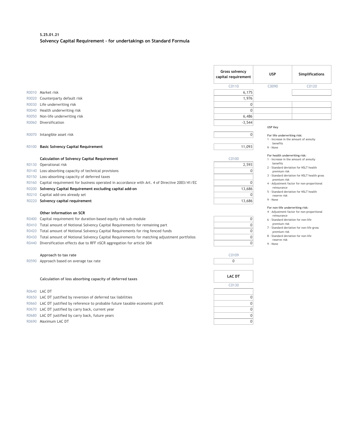#### **S.25.01.21 Solvency Capital Requirement - for undertakings on Standard Formula**

|       |                                                                                                   | Gross solvency<br>capital requirement | <b>USP</b>                    | Simplifications                              |
|-------|---------------------------------------------------------------------------------------------------|---------------------------------------|-------------------------------|----------------------------------------------|
|       |                                                                                                   | C0110                                 | C0090                         | C0120                                        |
|       | R0010 Market risk                                                                                 | 6,175                                 |                               |                                              |
|       | R0020 Counterparty default risk                                                                   | 1,976                                 |                               |                                              |
|       | R0030 Life underwriting risk                                                                      | 0                                     |                               |                                              |
|       | R0040 Health underwriting risk                                                                    | $\overline{0}$                        |                               |                                              |
|       | R0050 Non-life underwriting risk                                                                  | 6,486                                 |                               |                                              |
|       | R0060 Diversification                                                                             | $-3,544$                              |                               |                                              |
|       |                                                                                                   |                                       | <b>USP Key</b>                |                                              |
|       | R0070 Intangible asset risk                                                                       | $\mathbf{0}$                          | For life underwriting risk:   |                                              |
|       |                                                                                                   |                                       |                               | 1 - Increase in the amount of annuity        |
|       | R0100 Basic Solvency Capital Requirement                                                          | 11,093                                | benefits<br>9 - None          |                                              |
|       |                                                                                                   |                                       | For health underwriting risk: |                                              |
|       | <b>Calculation of Solvency Capital Requirement</b>                                                | C0100                                 |                               | 1 - Increase in the amount of annuity        |
|       | R0130 Operational risk                                                                            | 2,593                                 | benefits                      | 2 - Standard deviation for NSLT health       |
|       | R0140 Loss-absorbing capacity of technical provisions                                             | U                                     | premium risk                  |                                              |
|       | R0150 Loss-absorbing capacity of deferred taxes                                                   |                                       | premium risk                  | 3 - Standard deviation for NSLT health gross |
|       | R0160 Capital requirement for business operated in accordance with Art. 4 of Directive 2003/41/EC | 0                                     |                               | 4 - Adjustment factor for non-proportional   |
| R0200 | Solvency Capital Requirement excluding capital add-on                                             | 13,686                                | reinsurance                   | 5 - Standard deviation for NSLT health       |
|       | R0210 Capital add-ons already set                                                                 | 0                                     | reserve risk                  |                                              |
|       | R0220 Solvency capital requirement                                                                | 13,686                                | 9 - None                      |                                              |
|       |                                                                                                   |                                       |                               | For non-life underwriting risk:              |
|       | Other information on SCR                                                                          |                                       | reinsurance                   | 4 - Adjustment factor for non-proportional   |
|       | R0400 Capital requirement for duration-based equity risk sub-module                               | 0                                     |                               | 6 - Standard deviation for non-life          |
|       | R0410 Total amount of Notional Solvency Capital Requirements for remaining part                   | 0                                     | premium risk                  | 7 - Standard deviation for non-life gross    |
|       | R0420 Total amount of Notional Solvency Capital Requirements for ring fenced funds                | $\overline{0}$                        | premium risk                  |                                              |
|       | R0430 Total amount of Notional Solvency Capital Requirements for matching adjustment portfolios   | 0                                     | reserve risk                  | 8 - Standard deviation for non-life          |
|       | R0440 Diversification effects due to RFF nSCR aggregation for article 304                         | $\overline{0}$                        | 9 - None                      |                                              |
|       | Approach to tax rate                                                                              | C0109                                 |                               |                                              |
| R0590 | Approach based on average tax rate                                                                | $\mathbf 0$                           |                               |                                              |
|       |                                                                                                   |                                       |                               |                                              |
|       | Calculation of loss absorbing capacity of deferred taxes                                          | <b>LAC DT</b>                         |                               |                                              |
|       |                                                                                                   | C0130                                 |                               |                                              |
|       | R0640 LAC DT                                                                                      |                                       |                               |                                              |
|       |                                                                                                   |                                       |                               |                                              |

- R0650 LAC DT justified by reversion of deferred tax liabilities  $\boxed{0}$
- R0660 LAC DT justified by reference to probable future taxable economic profit  $\overline{0}$
- R0670 LAC DT justified by carry back, current year  $0$
- R0680 LAC DT justified by carry back, future years  $0$
- R0690 Maximum LAC DT 0